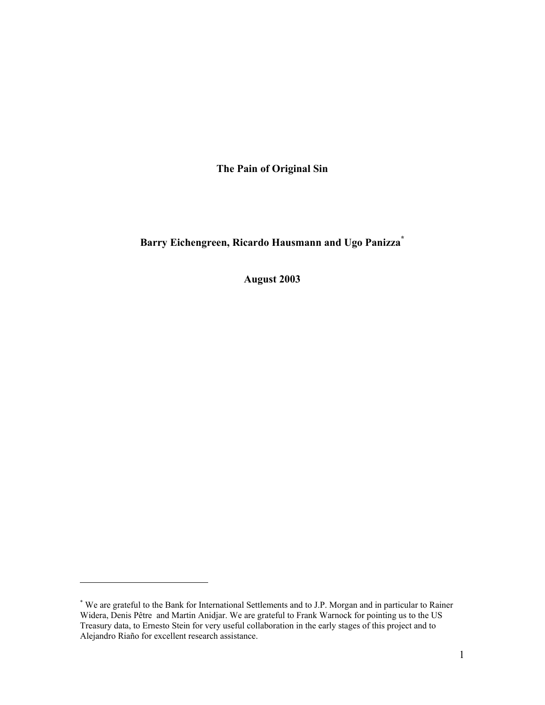**The Pain of Original Sin** 

**Barry Eichengreen, Ricardo Hausmann and Ugo Panizza\***

**August 2003** 

<sup>\*</sup> We are grateful to the Bank for International Settlements and to J.P. Morgan and in particular to Rainer Widera, Denis Pêtre and Martin Anidjar. We are grateful to Frank Warnock for pointing us to the US Treasury data, to Ernesto Stein for very useful collaboration in the early stages of this project and to Alejandro Riaño for excellent research assistance.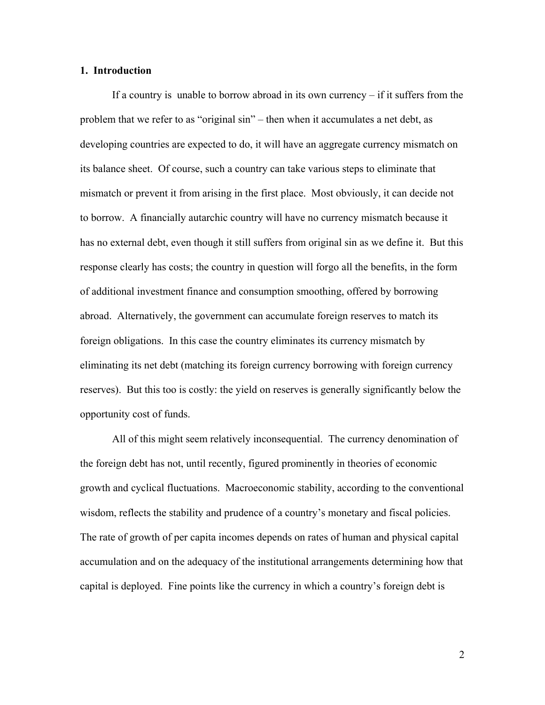# **1. Introduction**

If a country is unable to borrow abroad in its own currency  $-$  if it suffers from the problem that we refer to as "original sin" – then when it accumulates a net debt, as developing countries are expected to do, it will have an aggregate currency mismatch on its balance sheet. Of course, such a country can take various steps to eliminate that mismatch or prevent it from arising in the first place. Most obviously, it can decide not to borrow. A financially autarchic country will have no currency mismatch because it has no external debt, even though it still suffers from original sin as we define it. But this response clearly has costs; the country in question will forgo all the benefits, in the form of additional investment finance and consumption smoothing, offered by borrowing abroad. Alternatively, the government can accumulate foreign reserves to match its foreign obligations. In this case the country eliminates its currency mismatch by eliminating its net debt (matching its foreign currency borrowing with foreign currency reserves). But this too is costly: the yield on reserves is generally significantly below the opportunity cost of funds.

All of this might seem relatively inconsequential. The currency denomination of the foreign debt has not, until recently, figured prominently in theories of economic growth and cyclical fluctuations. Macroeconomic stability, according to the conventional wisdom, reflects the stability and prudence of a country's monetary and fiscal policies. The rate of growth of per capita incomes depends on rates of human and physical capital accumulation and on the adequacy of the institutional arrangements determining how that capital is deployed. Fine points like the currency in which a country's foreign debt is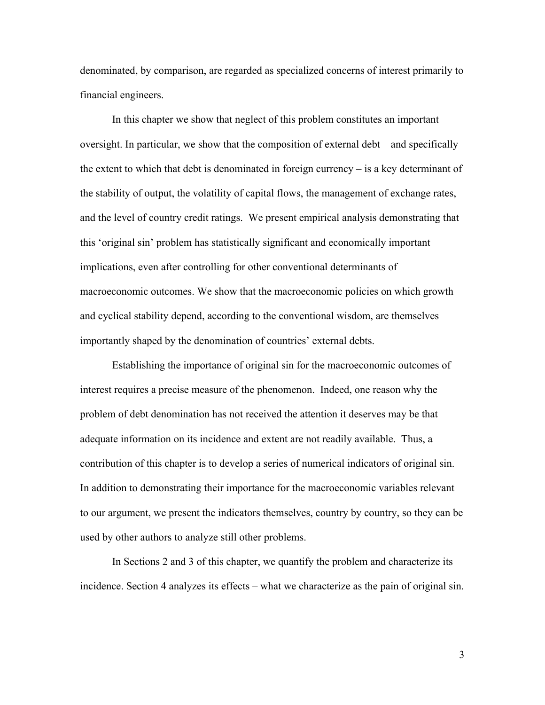denominated, by comparison, are regarded as specialized concerns of interest primarily to financial engineers.

In this chapter we show that neglect of this problem constitutes an important oversight. In particular, we show that the composition of external debt  $-$  and specifically the extent to which that debt is denominated in foreign currency  $-\mathrm{i}\mathrm{s}$  a key determinant of the stability of output, the volatility of capital flows, the management of exchange rates, and the level of country credit ratings. We present empirical analysis demonstrating that this 'original sin' problem has statistically significant and economically important implications, even after controlling for other conventional determinants of macroeconomic outcomes. We show that the macroeconomic policies on which growth and cyclical stability depend, according to the conventional wisdom, are themselves importantly shaped by the denomination of countries' external debts.

Establishing the importance of original sin for the macroeconomic outcomes of interest requires a precise measure of the phenomenon. Indeed, one reason why the problem of debt denomination has not received the attention it deserves may be that adequate information on its incidence and extent are not readily available. Thus, a contribution of this chapter is to develop a series of numerical indicators of original sin. In addition to demonstrating their importance for the macroeconomic variables relevant to our argument, we present the indicators themselves, country by country, so they can be used by other authors to analyze still other problems.

In Sections 2 and 3 of this chapter, we quantify the problem and characterize its incidence. Section 4 analyzes its effects – what we characterize as the pain of original sin.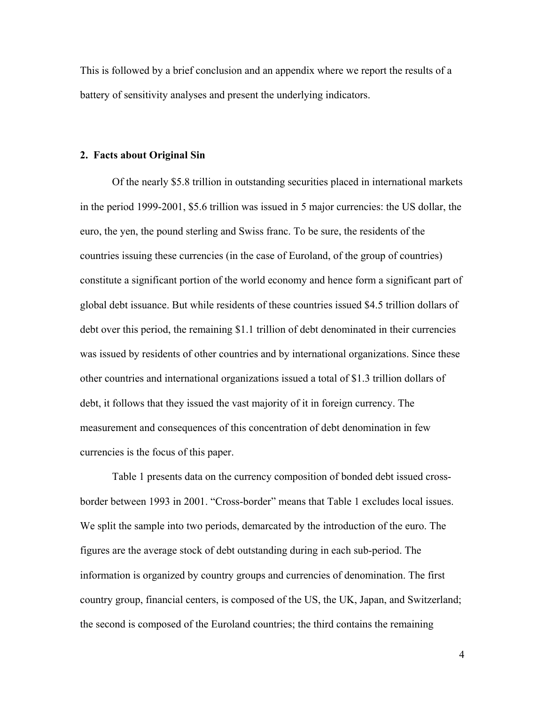This is followed by a brief conclusion and an appendix where we report the results of a battery of sensitivity analyses and present the underlying indicators.

#### **2. Facts about Original Sin**

Of the nearly \$5.8 trillion in outstanding securities placed in international markets in the period 1999-2001, \$5.6 trillion was issued in 5 major currencies: the US dollar, the euro, the yen, the pound sterling and Swiss franc. To be sure, the residents of the countries issuing these currencies (in the case of Euroland, of the group of countries) constitute a significant portion of the world economy and hence form a significant part of global debt issuance. But while residents of these countries issued \$4.5 trillion dollars of debt over this period, the remaining \$1.1 trillion of debt denominated in their currencies was issued by residents of other countries and by international organizations. Since these other countries and international organizations issued a total of \$1.3 trillion dollars of debt, it follows that they issued the vast majority of it in foreign currency. The measurement and consequences of this concentration of debt denomination in few currencies is the focus of this paper.

Table 1 presents data on the currency composition of bonded debt issued crossborder between 1993 in 2001. "Cross-border" means that Table 1 excludes local issues. We split the sample into two periods, demarcated by the introduction of the euro. The figures are the average stock of debt outstanding during in each sub-period. The information is organized by country groups and currencies of denomination. The first country group, financial centers, is composed of the US, the UK, Japan, and Switzerland; the second is composed of the Euroland countries; the third contains the remaining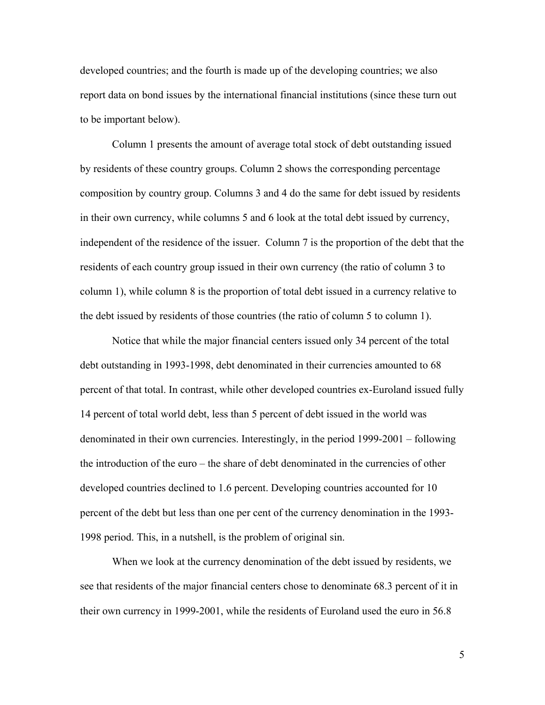developed countries; and the fourth is made up of the developing countries; we also report data on bond issues by the international financial institutions (since these turn out to be important below).

Column 1 presents the amount of average total stock of debt outstanding issued by residents of these country groups. Column 2 shows the corresponding percentage composition by country group. Columns 3 and 4 do the same for debt issued by residents in their own currency, while columns 5 and 6 look at the total debt issued by currency, independent of the residence of the issuer. Column 7 is the proportion of the debt that the residents of each country group issued in their own currency (the ratio of column 3 to column 1), while column 8 is the proportion of total debt issued in a currency relative to the debt issued by residents of those countries (the ratio of column 5 to column 1).

Notice that while the major financial centers issued only 34 percent of the total debt outstanding in 1993-1998, debt denominated in their currencies amounted to 68 percent of that total. In contrast, while other developed countries ex-Euroland issued fully 14 percent of total world debt, less than 5 percent of debt issued in the world was denominated in their own currencies. Interestingly, in the period  $1999-2001 - 6$  following the introduction of the euro – the share of debt denominated in the currencies of other developed countries declined to 1.6 percent. Developing countries accounted for 10 percent of the debt but less than one per cent of the currency denomination in the 1993- 1998 period. This, in a nutshell, is the problem of original sin.

When we look at the currency denomination of the debt issued by residents, we see that residents of the major financial centers chose to denominate 68.3 percent of it in their own currency in 1999-2001, while the residents of Euroland used the euro in 56.8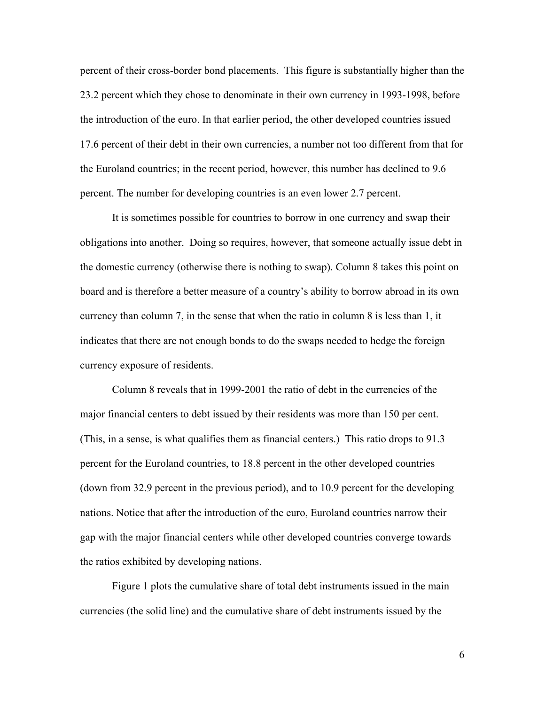percent of their cross-border bond placements. This figure is substantially higher than the 23.2 percent which they chose to denominate in their own currency in 1993-1998, before the introduction of the euro. In that earlier period, the other developed countries issued 17.6 percent of their debt in their own currencies, a number not too different from that for the Euroland countries; in the recent period, however, this number has declined to 9.6 percent. The number for developing countries is an even lower 2.7 percent.

It is sometimes possible for countries to borrow in one currency and swap their obligations into another. Doing so requires, however, that someone actually issue debt in the domestic currency (otherwise there is nothing to swap). Column 8 takes this point on board and is therefore a better measure of a country's ability to borrow abroad in its own currency than column 7, in the sense that when the ratio in column 8 is less than 1, it indicates that there are not enough bonds to do the swaps needed to hedge the foreign currency exposure of residents.

Column 8 reveals that in 1999-2001 the ratio of debt in the currencies of the major financial centers to debt issued by their residents was more than 150 per cent. (This, in a sense, is what qualifies them as financial centers.) This ratio drops to 91.3 percent for the Euroland countries, to 18.8 percent in the other developed countries (down from 32.9 percent in the previous period), and to 10.9 percent for the developing nations. Notice that after the introduction of the euro, Euroland countries narrow their gap with the major financial centers while other developed countries converge towards the ratios exhibited by developing nations.

Figure 1 plots the cumulative share of total debt instruments issued in the main currencies (the solid line) and the cumulative share of debt instruments issued by the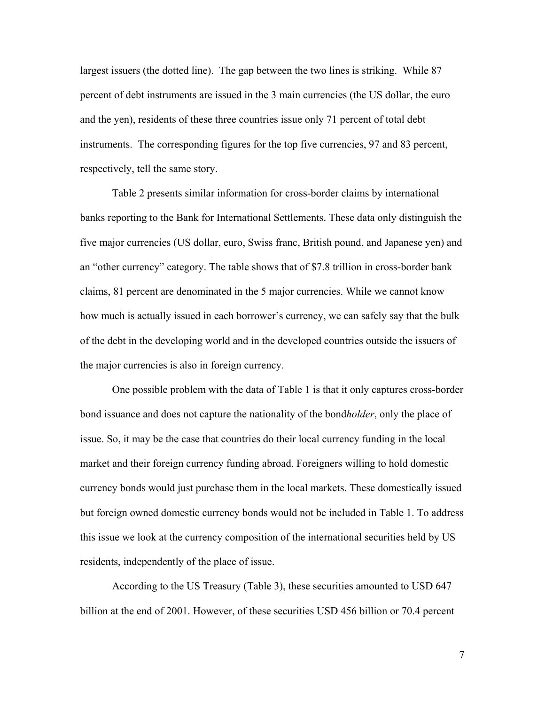largest issuers (the dotted line). The gap between the two lines is striking. While 87 percent of debt instruments are issued in the 3 main currencies (the US dollar, the euro and the yen), residents of these three countries issue only 71 percent of total debt instruments. The corresponding figures for the top five currencies, 97 and 83 percent, respectively, tell the same story.

Table 2 presents similar information for cross-border claims by international banks reporting to the Bank for International Settlements. These data only distinguish the five major currencies (US dollar, euro, Swiss franc, British pound, and Japanese yen) and an "other currency" category. The table shows that of \$7.8 trillion in cross-border bank claims, 81 percent are denominated in the 5 major currencies. While we cannot know how much is actually issued in each borrower's currency, we can safely say that the bulk of the debt in the developing world and in the developed countries outside the issuers of the major currencies is also in foreign currency.

One possible problem with the data of Table 1 is that it only captures cross-border bond issuance and does not capture the nationality of the bond*holder*, only the place of issue. So, it may be the case that countries do their local currency funding in the local market and their foreign currency funding abroad. Foreigners willing to hold domestic currency bonds would just purchase them in the local markets. These domestically issued but foreign owned domestic currency bonds would not be included in Table 1. To address this issue we look at the currency composition of the international securities held by US residents, independently of the place of issue.

According to the US Treasury (Table 3), these securities amounted to USD 647 billion at the end of 2001. However, of these securities USD 456 billion or 70.4 percent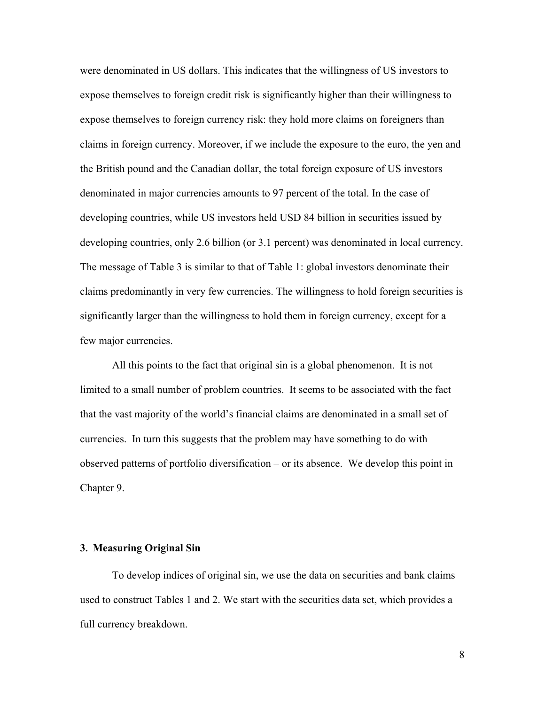were denominated in US dollars. This indicates that the willingness of US investors to expose themselves to foreign credit risk is significantly higher than their willingness to expose themselves to foreign currency risk: they hold more claims on foreigners than claims in foreign currency. Moreover, if we include the exposure to the euro, the yen and the British pound and the Canadian dollar, the total foreign exposure of US investors denominated in major currencies amounts to 97 percent of the total. In the case of developing countries, while US investors held USD 84 billion in securities issued by developing countries, only 2.6 billion (or 3.1 percent) was denominated in local currency. The message of Table 3 is similar to that of Table 1: global investors denominate their claims predominantly in very few currencies. The willingness to hold foreign securities is significantly larger than the willingness to hold them in foreign currency, except for a few major currencies.

All this points to the fact that original sin is a global phenomenon. It is not limited to a small number of problem countries. It seems to be associated with the fact that the vast majority of the world's financial claims are denominated in a small set of currencies. In turn this suggests that the problem may have something to do with observed patterns of portfolio diversification  $-$  or its absence. We develop this point in Chapter 9.

# **3. Measuring Original Sin**

To develop indices of original sin, we use the data on securities and bank claims used to construct Tables 1 and 2. We start with the securities data set, which provides a full currency breakdown.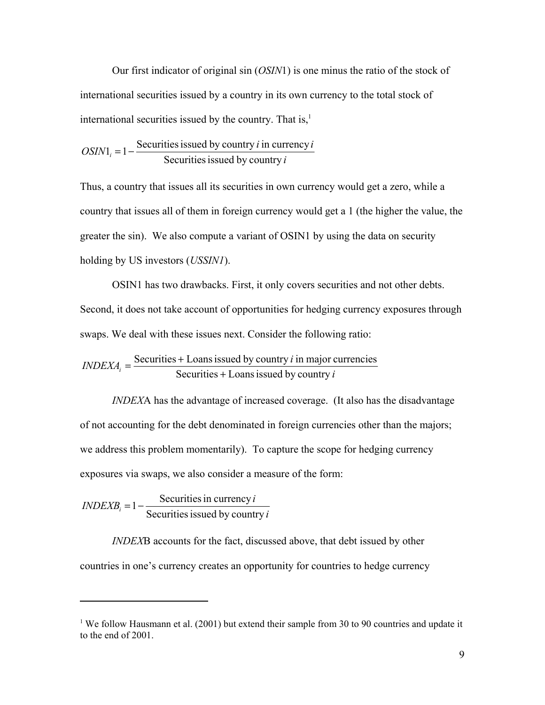Our first indicator of original sin (*OSIN*1) is one minus the ratio of the stock of international securities issued by a country in its own currency to the total stock of international securities issued by the country. That is, $\frac{1}{2}$ 

$$
OSIN1_i = 1 - \frac{Securities issued by country i in currency i\nSecurities issued by country i
$$

Thus, a country that issues all its securities in own currency would get a zero, while a country that issues all of them in foreign currency would get a 1 (the higher the value, the greater the sin). We also compute a variant of OSIN1 by using the data on security holding by US investors (*USSIN1*).

OSIN1 has two drawbacks. First, it only covers securities and not other debts. Second, it does not take account of opportunities for hedging currency exposures through swaps. We deal with these issues next. Consider the following ratio:

$$
INDEXA_i = \frac{Security + Loss is used by country i in major currencies}{Security + Loss is used by country i}
$$

*INDEX*A has the advantage of increased coverage. (It also has the disadvantage of not accounting for the debt denominated in foreign currencies other than the majors; we address this problem momentarily). To capture the scope for hedging currency exposures via swaps, we also consider a measure of the form:

 $$ 

 $\overline{a}$ 

*INDEX*B accounts for the fact, discussed above, that debt issued by other countries in one's currency creates an opportunity for countries to hedge currency

<sup>&</sup>lt;sup>1</sup> We follow Hausmann et al. (2001) but extend their sample from 30 to 90 countries and update it to the end of 2001.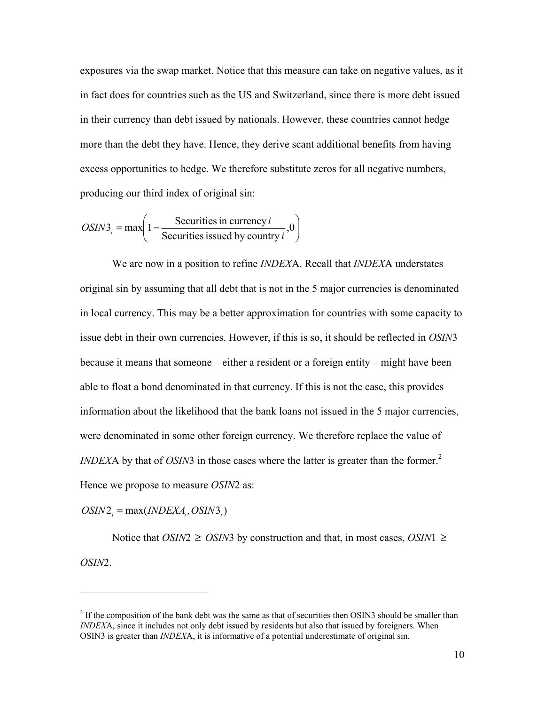exposures via the swap market. Notice that this measure can take on negative values, as it in fact does for countries such as the US and Switzerland, since there is more debt issued in their currency than debt issued by nationals. However, these countries cannot hedge more than the debt they have. Hence, they derive scant additional benefits from having excess opportunities to hedge. We therefore substitute zeros for all negative numbers, producing our third index of original sin:

$$
OSIN3_i = \max\left(1 - \frac{\text{Securities in currency } i}{\text{Securities issued by country } i}, 0\right)
$$

 We are now in a position to refine *INDEX*A. Recall that *INDEX*A understates original sin by assuming that all debt that is not in the 5 major currencies is denominated in local currency. This may be a better approximation for countries with some capacity to issue debt in their own currencies. However, if this is so, it should be reflected in *OSIN*3 because it means that someone – either a resident or a foreign entity – might have been able to float a bond denominated in that currency. If this is not the case, this provides information about the likelihood that the bank loans not issued in the 5 major currencies, were denominated in some other foreign currency. We therefore replace the value of *INDEXA* by that of *OSIN*3 in those cases where the latter is greater than the former.<sup>2</sup> Hence we propose to measure *OSIN*2 as:

 $OSIN2_i = \max(INDEXA_i, OSIN3_i)$ 

 $\overline{a}$ 

Notice that *OSIN*2 ≥ *OSIN*3 by construction and that, in most cases, *OSIN*1 ≥ *OSIN*2.

 $2<sup>2</sup>$  If the composition of the bank debt was the same as that of securities then OSIN3 should be smaller than *INDEX*A, since it includes not only debt issued by residents but also that issued by foreigners. When OSIN3 is greater than *INDEX*A, it is informative of a potential underestimate of original sin.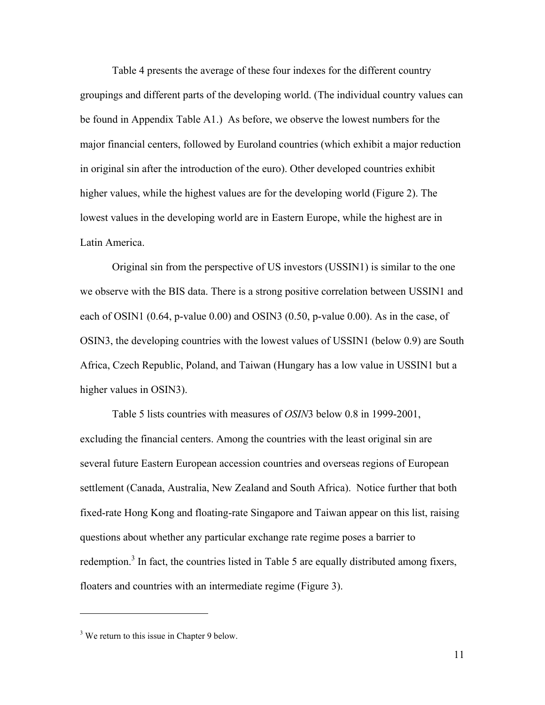Table 4 presents the average of these four indexes for the different country groupings and different parts of the developing world. (The individual country values can be found in Appendix Table A1.) As before, we observe the lowest numbers for the major financial centers, followed by Euroland countries (which exhibit a major reduction in original sin after the introduction of the euro). Other developed countries exhibit higher values, while the highest values are for the developing world (Figure 2). The lowest values in the developing world are in Eastern Europe, while the highest are in Latin America.

Original sin from the perspective of US investors (USSIN1) is similar to the one we observe with the BIS data. There is a strong positive correlation between USSIN1 and each of OSIN1 (0.64, p-value 0.00) and OSIN3 (0.50, p-value 0.00). As in the case, of OSIN3, the developing countries with the lowest values of USSIN1 (below 0.9) are South Africa, Czech Republic, Poland, and Taiwan (Hungary has a low value in USSIN1 but a higher values in OSIN3).

Table 5 lists countries with measures of *OSIN*3 below 0.8 in 1999-2001, excluding the financial centers. Among the countries with the least original sin are several future Eastern European accession countries and overseas regions of European settlement (Canada, Australia, New Zealand and South Africa). Notice further that both fixed-rate Hong Kong and floating-rate Singapore and Taiwan appear on this list, raising questions about whether any particular exchange rate regime poses a barrier to redemption.<sup>3</sup> In fact, the countries listed in Table 5 are equally distributed among fixers, floaters and countries with an intermediate regime (Figure 3).

<sup>&</sup>lt;sup>3</sup> We return to this issue in Chapter 9 below.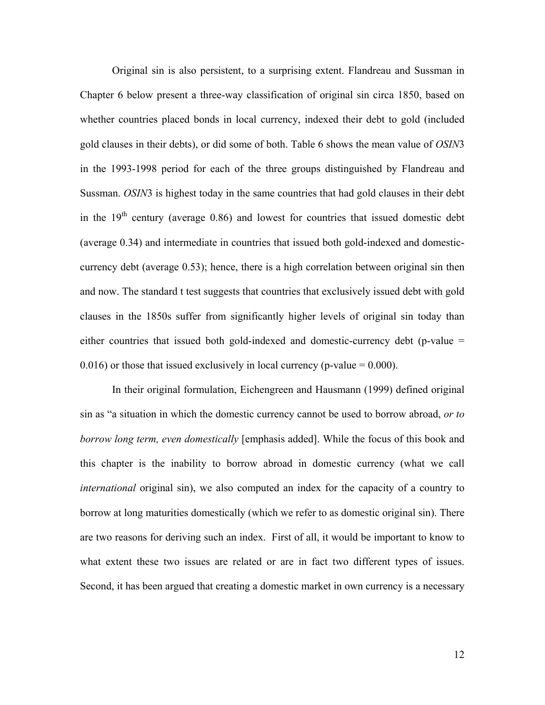Original sin is also persistent, to a surprising extent. Flandreau and Sussman in Chapter 6 below present a three-way classification of original sin circa 1850, based on whether countries placed bonds in local currency, indexed their debt to gold (included gold clauses in their debts), or did some of both. Table 6 shows the mean value of *OSIN*3 in the 1993-1998 period for each of the three groups distinguished by Flandreau and Sussman. *OSIN*3 is highest today in the same countries that had gold clauses in their debt in the  $19<sup>th</sup>$  century (average 0.86) and lowest for countries that issued domestic debt (average 0.34) and intermediate in countries that issued both gold-indexed and domesticcurrency debt (average 0.53); hence, there is a high correlation between original sin then and now. The standard t test suggests that countries that exclusively issued debt with gold clauses in the 1850s suffer from significantly higher levels of original sin today than either countries that issued both gold-indexed and domestic-currency debt (p-value =  $0.016$ ) or those that issued exclusively in local currency (p-value = 0.000).

In their original formulation, Eichengreen and Hausmann (1999) defined original sin as "a situation in which the domestic currency cannot be used to borrow abroad, *or to borrow long term, even domestically* [emphasis added]. While the focus of this book and this chapter is the inability to borrow abroad in domestic currency (what we call *international* original sin), we also computed an index for the capacity of a country to borrow at long maturities domestically (which we refer to as domestic original sin). There are two reasons for deriving such an index. First of all, it would be important to know to what extent these two issues are related or are in fact two different types of issues. Second, it has been argued that creating a domestic market in own currency is a necessary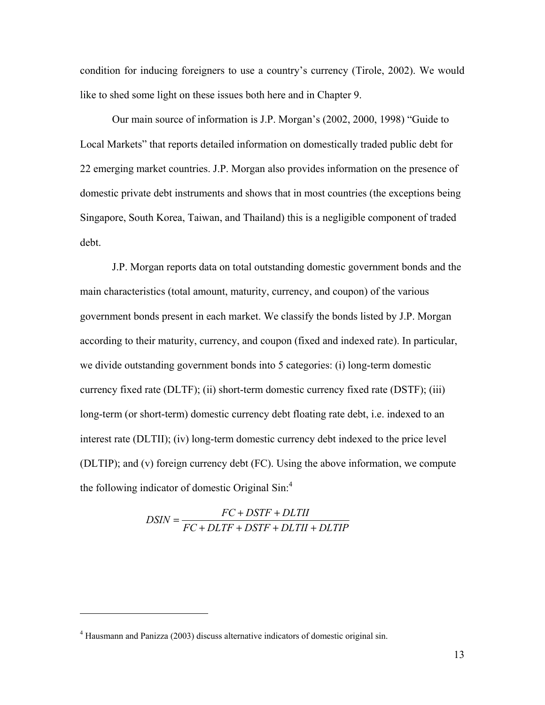condition for inducing foreigners to use a country's currency (Tirole, 2002). We would like to shed some light on these issues both here and in Chapter 9.

Our main source of information is J.P. Morgan's (2002, 2000, 1998) "Guide to Local Markets" that reports detailed information on domestically traded public debt for 22 emerging market countries. J.P. Morgan also provides information on the presence of domestic private debt instruments and shows that in most countries (the exceptions being Singapore, South Korea, Taiwan, and Thailand) this is a negligible component of traded debt.

J.P. Morgan reports data on total outstanding domestic government bonds and the main characteristics (total amount, maturity, currency, and coupon) of the various government bonds present in each market. We classify the bonds listed by J.P. Morgan according to their maturity, currency, and coupon (fixed and indexed rate). In particular, we divide outstanding government bonds into 5 categories: (i) long-term domestic currency fixed rate (DLTF); (ii) short-term domestic currency fixed rate (DSTF); (iii) long-term (or short-term) domestic currency debt floating rate debt, i.e. indexed to an interest rate (DLTII); (iv) long-term domestic currency debt indexed to the price level (DLTIP); and (v) foreign currency debt (FC). Using the above information, we compute the following indicator of domestic Original  $Sin^4$ 

$$
DSIN = \frac{FC + DSTF + DLTII}{FC + DLTF + DSTF + DLTII + DLTIP}
$$

<sup>&</sup>lt;sup>4</sup> Hausmann and Panizza (2003) discuss alternative indicators of domestic original sin.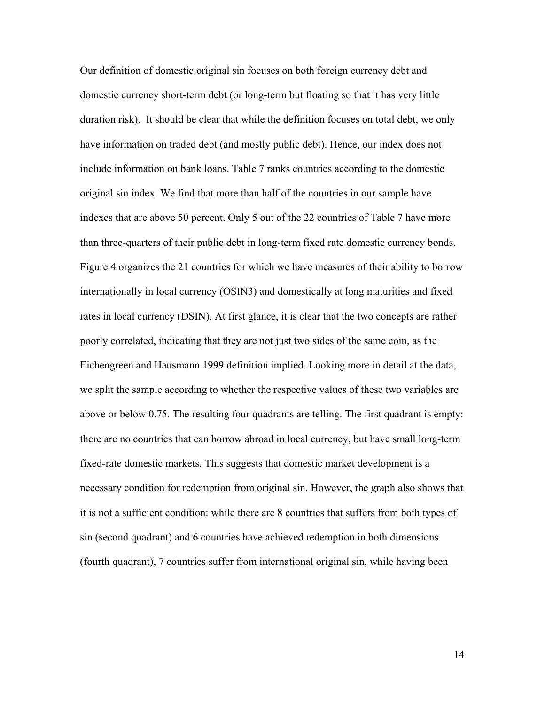Our definition of domestic original sin focuses on both foreign currency debt and domestic currency short-term debt (or long-term but floating so that it has very little duration risk). It should be clear that while the definition focuses on total debt, we only have information on traded debt (and mostly public debt). Hence, our index does not include information on bank loans. Table 7 ranks countries according to the domestic original sin index. We find that more than half of the countries in our sample have indexes that are above 50 percent. Only 5 out of the 22 countries of Table 7 have more than three-quarters of their public debt in long-term fixed rate domestic currency bonds. Figure 4 organizes the 21 countries for which we have measures of their ability to borrow internationally in local currency (OSIN3) and domestically at long maturities and fixed rates in local currency (DSIN). At first glance, it is clear that the two concepts are rather poorly correlated, indicating that they are not just two sides of the same coin, as the Eichengreen and Hausmann 1999 definition implied. Looking more in detail at the data, we split the sample according to whether the respective values of these two variables are above or below 0.75. The resulting four quadrants are telling. The first quadrant is empty: there are no countries that can borrow abroad in local currency, but have small long-term fixed-rate domestic markets. This suggests that domestic market development is a necessary condition for redemption from original sin. However, the graph also shows that it is not a sufficient condition: while there are 8 countries that suffers from both types of sin (second quadrant) and 6 countries have achieved redemption in both dimensions (fourth quadrant), 7 countries suffer from international original sin, while having been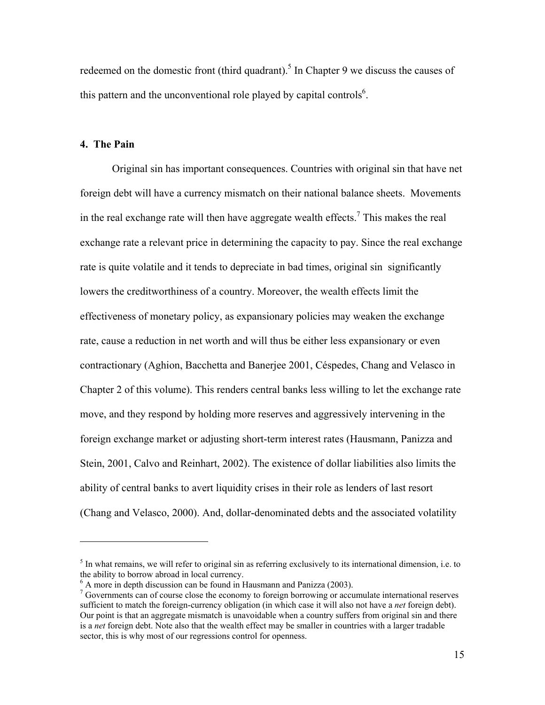redeemed on the domestic front (third quadrant).<sup>5</sup> In Chapter 9 we discuss the causes of this pattern and the unconventional role played by capital controls<sup>6</sup>.

# **4. The Pain**

 $\overline{a}$ 

Original sin has important consequences. Countries with original sin that have net foreign debt will have a currency mismatch on their national balance sheets. Movements in the real exchange rate will then have aggregate wealth effects.<sup>7</sup> This makes the real exchange rate a relevant price in determining the capacity to pay. Since the real exchange rate is quite volatile and it tends to depreciate in bad times, original sin significantly lowers the creditworthiness of a country. Moreover, the wealth effects limit the effectiveness of monetary policy, as expansionary policies may weaken the exchange rate, cause a reduction in net worth and will thus be either less expansionary or even contractionary (Aghion, Bacchetta and Banerjee 2001, Céspedes, Chang and Velasco in Chapter 2 of this volume). This renders central banks less willing to let the exchange rate move, and they respond by holding more reserves and aggressively intervening in the foreign exchange market or adjusting short-term interest rates (Hausmann, Panizza and Stein, 2001, Calvo and Reinhart, 2002). The existence of dollar liabilities also limits the ability of central banks to avert liquidity crises in their role as lenders of last resort (Chang and Velasco, 2000). And, dollar-denominated debts and the associated volatility

 $<sup>5</sup>$  In what remains, we will refer to original sin as referring exclusively to its international dimension, i.e. to</sup> the ability to borrow abroad in local currency.

 $^6$  A more in depth discussion can be found in Hausmann and Panizza (2003).

 $\frac{7}{1}$  Governments can of course close the economy to foreign borrowing or accumulate international reserves sufficient to match the foreign-currency obligation (in which case it will also not have a *net* foreign debt). Our point is that an aggregate mismatch is unavoidable when a country suffers from original sin and there is a *net* foreign debt. Note also that the wealth effect may be smaller in countries with a larger tradable sector, this is why most of our regressions control for openness.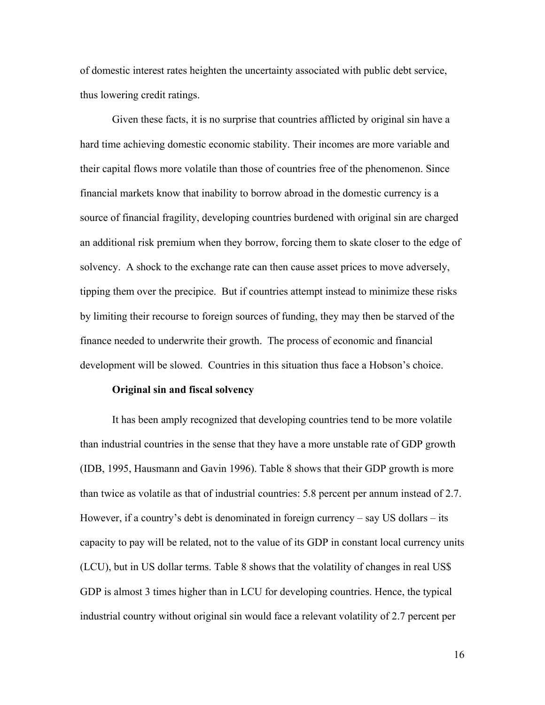of domestic interest rates heighten the uncertainty associated with public debt service, thus lowering credit ratings.

 Given these facts, it is no surprise that countries afflicted by original sin have a hard time achieving domestic economic stability. Their incomes are more variable and their capital flows more volatile than those of countries free of the phenomenon. Since financial markets know that inability to borrow abroad in the domestic currency is a source of financial fragility, developing countries burdened with original sin are charged an additional risk premium when they borrow, forcing them to skate closer to the edge of solvency. A shock to the exchange rate can then cause asset prices to move adversely, tipping them over the precipice. But if countries attempt instead to minimize these risks by limiting their recourse to foreign sources of funding, they may then be starved of the finance needed to underwrite their growth. The process of economic and financial development will be slowed. Countries in this situation thus face a Hobson's choice.

#### **Original sin and fiscal solvency**

It has been amply recognized that developing countries tend to be more volatile than industrial countries in the sense that they have a more unstable rate of GDP growth (IDB, 1995, Hausmann and Gavin 1996). Table 8 shows that their GDP growth is more than twice as volatile as that of industrial countries: 5.8 percent per annum instead of 2.7. However, if a country's debt is denominated in foreign currency  $-$  say US dollars  $-$  its capacity to pay will be related, not to the value of its GDP in constant local currency units (LCU), but in US dollar terms. Table 8 shows that the volatility of changes in real US\$ GDP is almost 3 times higher than in LCU for developing countries. Hence, the typical industrial country without original sin would face a relevant volatility of 2.7 percent per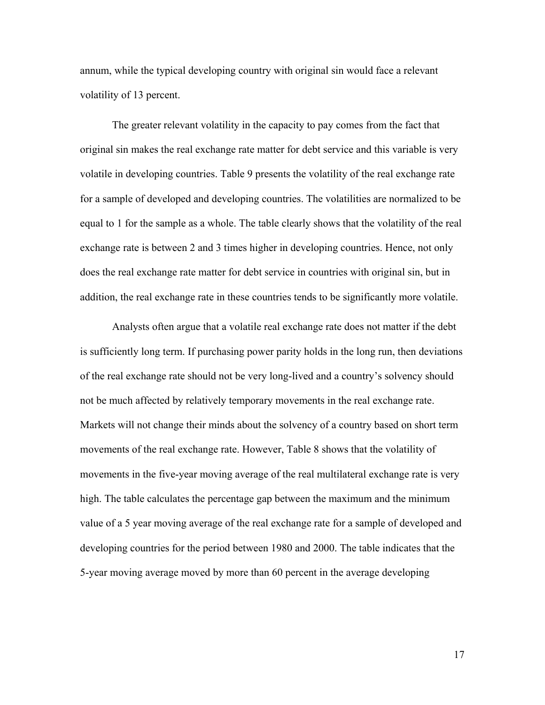annum, while the typical developing country with original sin would face a relevant volatility of 13 percent.

The greater relevant volatility in the capacity to pay comes from the fact that original sin makes the real exchange rate matter for debt service and this variable is very volatile in developing countries. Table 9 presents the volatility of the real exchange rate for a sample of developed and developing countries. The volatilities are normalized to be equal to 1 for the sample as a whole. The table clearly shows that the volatility of the real exchange rate is between 2 and 3 times higher in developing countries. Hence, not only does the real exchange rate matter for debt service in countries with original sin, but in addition, the real exchange rate in these countries tends to be significantly more volatile.

Analysts often argue that a volatile real exchange rate does not matter if the debt is sufficiently long term. If purchasing power parity holds in the long run, then deviations of the real exchange rate should not be very long-lived and a countryís solvency should not be much affected by relatively temporary movements in the real exchange rate. Markets will not change their minds about the solvency of a country based on short term movements of the real exchange rate. However, Table 8 shows that the volatility of movements in the five-year moving average of the real multilateral exchange rate is very high. The table calculates the percentage gap between the maximum and the minimum value of a 5 year moving average of the real exchange rate for a sample of developed and developing countries for the period between 1980 and 2000. The table indicates that the 5-year moving average moved by more than 60 percent in the average developing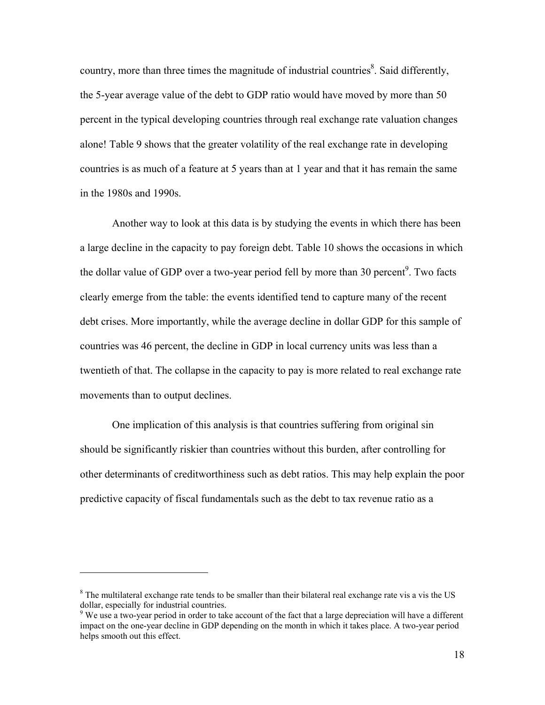country, more than three times the magnitude of industrial countries<sup>8</sup>. Said differently, the 5-year average value of the debt to GDP ratio would have moved by more than 50 percent in the typical developing countries through real exchange rate valuation changes alone! Table 9 shows that the greater volatility of the real exchange rate in developing countries is as much of a feature at 5 years than at 1 year and that it has remain the same in the 1980s and 1990s.

Another way to look at this data is by studying the events in which there has been a large decline in the capacity to pay foreign debt. Table 10 shows the occasions in which the dollar value of GDP over a two-year period fell by more than 30 percent<sup>9</sup>. Two facts clearly emerge from the table: the events identified tend to capture many of the recent debt crises. More importantly, while the average decline in dollar GDP for this sample of countries was 46 percent, the decline in GDP in local currency units was less than a twentieth of that. The collapse in the capacity to pay is more related to real exchange rate movements than to output declines.

One implication of this analysis is that countries suffering from original sin should be significantly riskier than countries without this burden, after controlling for other determinants of creditworthiness such as debt ratios. This may help explain the poor predictive capacity of fiscal fundamentals such as the debt to tax revenue ratio as a

<sup>&</sup>lt;sup>8</sup> The multilateral exchange rate tends to be smaller than their bilateral real exchange rate vis a vis the US dollar, especially for industrial countries.

 $9$  We use a two-year period in order to take account of the fact that a large depreciation will have a different impact on the one-year decline in GDP depending on the month in which it takes place. A two-year period helps smooth out this effect.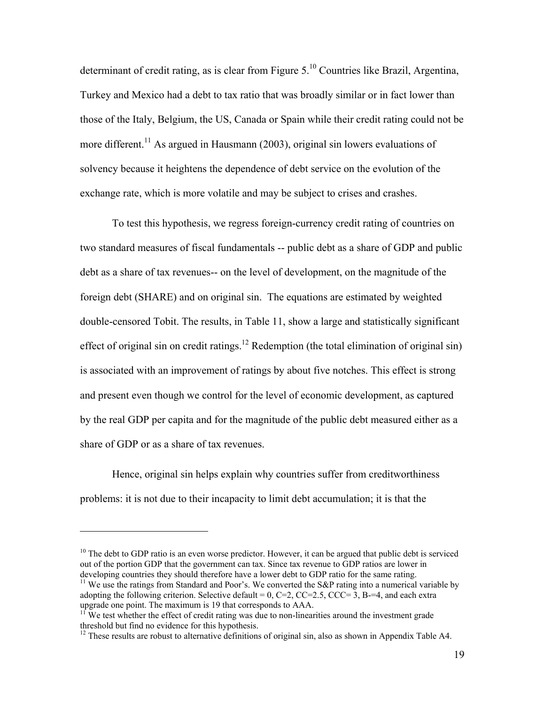determinant of credit rating, as is clear from Figure 5.<sup>10</sup> Countries like Brazil, Argentina, Turkey and Mexico had a debt to tax ratio that was broadly similar or in fact lower than those of the Italy, Belgium, the US, Canada or Spain while their credit rating could not be more different.<sup>11</sup> As argued in Hausmann (2003), original sin lowers evaluations of solvency because it heightens the dependence of debt service on the evolution of the exchange rate, which is more volatile and may be subject to crises and crashes.

To test this hypothesis, we regress foreign-currency credit rating of countries on two standard measures of fiscal fundamentals -- public debt as a share of GDP and public debt as a share of tax revenues-- on the level of development, on the magnitude of the foreign debt (SHARE) and on original sin. The equations are estimated by weighted double-censored Tobit. The results, in Table 11, show a large and statistically significant effect of original sin on credit ratings.<sup>12</sup> Redemption (the total elimination of original sin) is associated with an improvement of ratings by about five notches. This effect is strong and present even though we control for the level of economic development, as captured by the real GDP per capita and for the magnitude of the public debt measured either as a share of GDP or as a share of tax revenues.

Hence, original sin helps explain why countries suffer from creditworthiness problems: it is not due to their incapacity to limit debt accumulation; it is that the

<u>.</u>

 $10$  The debt to GDP ratio is an even worse predictor. However, it can be argued that public debt is serviced out of the portion GDP that the government can tax. Since tax revenue to GDP ratios are lower in developing countries they should therefore have a lower debt to GDP ratio for the same rating.

<sup>&</sup>lt;sup>11</sup> We use the ratings from Standard and Poor's. We converted the S&P rating into a numerical variable by adopting the following criterion. Selective default =  $0$ , C=2, CC=2.5, CCC=3, B= $=4$ , and each extra upgrade one point. The maximum is 19 that corresponds to AAA.

<sup>&</sup>lt;sup>11</sup> We test whether the effect of credit rating was due to non-linearities around the investment grade threshold but find no evidence for this hypothesis.

 $12$  These results are robust to alternative definitions of original sin, also as shown in Appendix Table A4.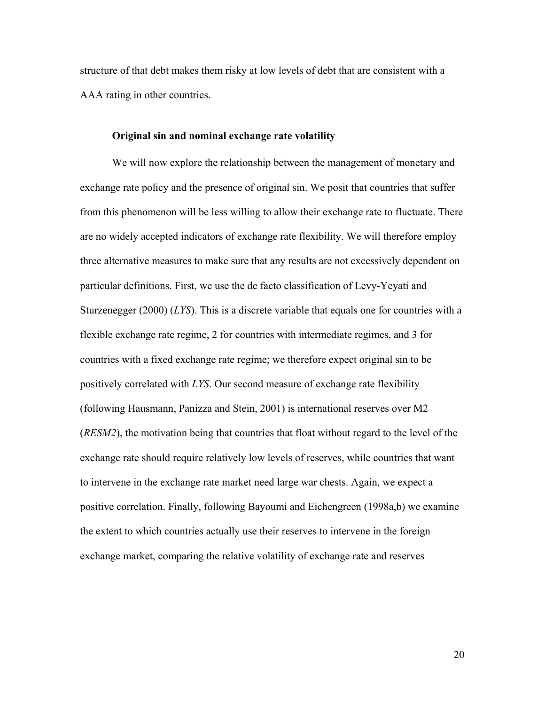structure of that debt makes them risky at low levels of debt that are consistent with a AAA rating in other countries.

## **Original sin and nominal exchange rate volatility**

 We will now explore the relationship between the management of monetary and exchange rate policy and the presence of original sin. We posit that countries that suffer from this phenomenon will be less willing to allow their exchange rate to fluctuate. There are no widely accepted indicators of exchange rate flexibility. We will therefore employ three alternative measures to make sure that any results are not excessively dependent on particular definitions. First, we use the de facto classification of Levy-Yeyati and Sturzenegger (2000) (*LYS*). This is a discrete variable that equals one for countries with a flexible exchange rate regime, 2 for countries with intermediate regimes, and 3 for countries with a fixed exchange rate regime; we therefore expect original sin to be positively correlated with *LYS*. Our second measure of exchange rate flexibility (following Hausmann, Panizza and Stein, 2001) is international reserves over M2 (*RESM2*), the motivation being that countries that float without regard to the level of the exchange rate should require relatively low levels of reserves, while countries that want to intervene in the exchange rate market need large war chests. Again, we expect a positive correlation. Finally, following Bayoumi and Eichengreen (1998a,b) we examine the extent to which countries actually use their reserves to intervene in the foreign exchange market, comparing the relative volatility of exchange rate and reserves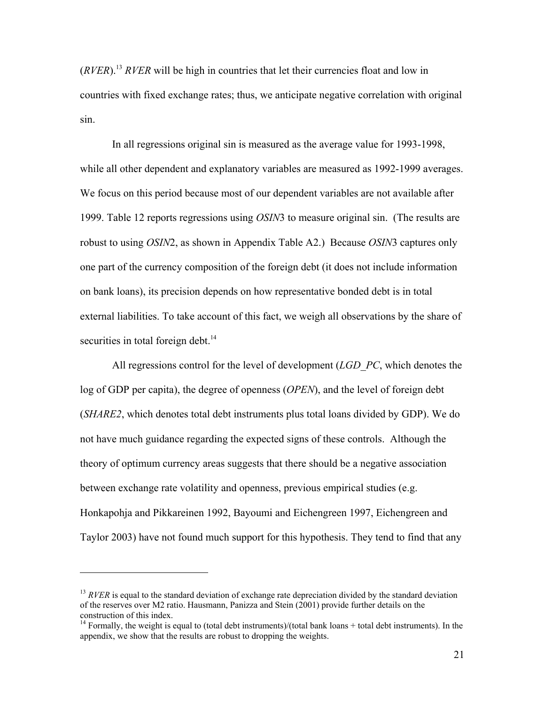(*RVER*).13 *RVER* will be high in countries that let their currencies float and low in countries with fixed exchange rates; thus, we anticipate negative correlation with original sin.

 In all regressions original sin is measured as the average value for 1993-1998, while all other dependent and explanatory variables are measured as 1992-1999 averages. We focus on this period because most of our dependent variables are not available after 1999. Table 12 reports regressions using *OSIN*3 to measure original sin. (The results are robust to using *OSIN*2, as shown in Appendix Table A2.) Because *OSIN*3 captures only one part of the currency composition of the foreign debt (it does not include information on bank loans), its precision depends on how representative bonded debt is in total external liabilities. To take account of this fact, we weigh all observations by the share of securities in total foreign debt.<sup>14</sup>

 All regressions control for the level of development (*LGD\_PC*, which denotes the log of GDP per capita), the degree of openness (*OPEN*), and the level of foreign debt (*SHARE2*, which denotes total debt instruments plus total loans divided by GDP). We do not have much guidance regarding the expected signs of these controls. Although the theory of optimum currency areas suggests that there should be a negative association between exchange rate volatility and openness, previous empirical studies (e.g. Honkapohja and Pikkareinen 1992, Bayoumi and Eichengreen 1997, Eichengreen and Taylor 2003) have not found much support for this hypothesis. They tend to find that any

<sup>&</sup>lt;sup>13</sup> *RVER* is equal to the standard deviation of exchange rate depreciation divided by the standard deviation of the reserves over M2 ratio. Hausmann, Panizza and Stein (2001) provide further details on the construction of this index.

 $14$  Formally, the weight is equal to (total debt instruments)/(total bank loans + total debt instruments). In the appendix, we show that the results are robust to dropping the weights.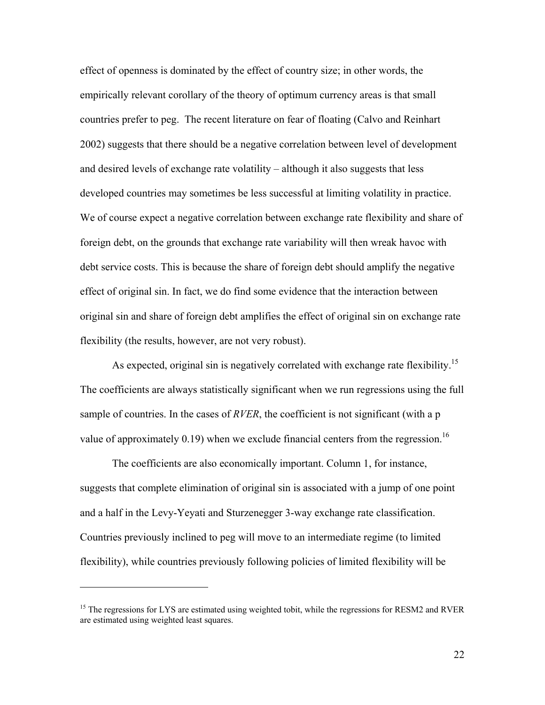effect of openness is dominated by the effect of country size; in other words, the empirically relevant corollary of the theory of optimum currency areas is that small countries prefer to peg. The recent literature on fear of floating (Calvo and Reinhart 2002) suggests that there should be a negative correlation between level of development and desired levels of exchange rate volatility  $-$  although it also suggests that less developed countries may sometimes be less successful at limiting volatility in practice. We of course expect a negative correlation between exchange rate flexibility and share of foreign debt, on the grounds that exchange rate variability will then wreak havoc with debt service costs. This is because the share of foreign debt should amplify the negative effect of original sin. In fact, we do find some evidence that the interaction between original sin and share of foreign debt amplifies the effect of original sin on exchange rate flexibility (the results, however, are not very robust).

As expected, original sin is negatively correlated with exchange rate flexibility.<sup>15</sup> The coefficients are always statistically significant when we run regressions using the full sample of countries. In the cases of *RVER*, the coefficient is not significant (with a p value of approximately 0.19) when we exclude financial centers from the regression.<sup>16</sup>

 The coefficients are also economically important. Column 1, for instance, suggests that complete elimination of original sin is associated with a jump of one point and a half in the Levy-Yeyati and Sturzenegger 3-way exchange rate classification. Countries previously inclined to peg will move to an intermediate regime (to limited flexibility), while countries previously following policies of limited flexibility will be

<sup>&</sup>lt;sup>15</sup> The regressions for LYS are estimated using weighted tobit, while the regressions for RESM2 and RVER are estimated using weighted least squares.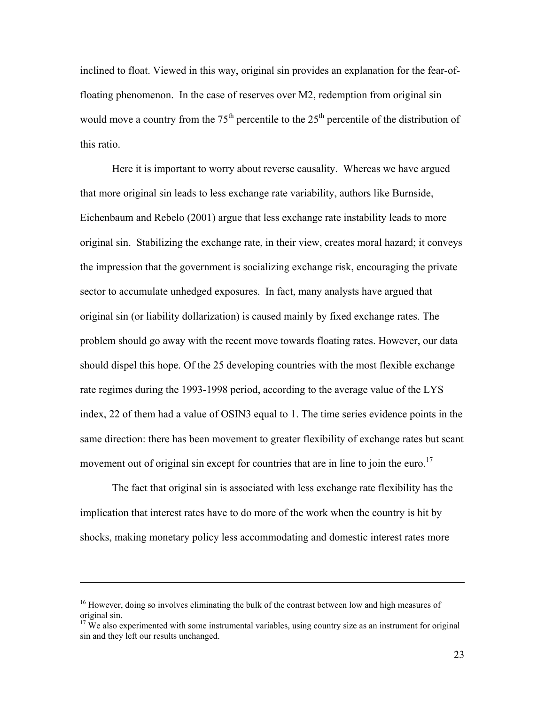inclined to float. Viewed in this way, original sin provides an explanation for the fear-offloating phenomenon. In the case of reserves over M2, redemption from original sin would move a country from the  $75<sup>th</sup>$  percentile to the  $25<sup>th</sup>$  percentile of the distribution of this ratio.

 Here it is important to worry about reverse causality. Whereas we have argued that more original sin leads to less exchange rate variability, authors like Burnside, Eichenbaum and Rebelo (2001) argue that less exchange rate instability leads to more original sin. Stabilizing the exchange rate, in their view, creates moral hazard; it conveys the impression that the government is socializing exchange risk, encouraging the private sector to accumulate unhedged exposures. In fact, many analysts have argued that original sin (or liability dollarization) is caused mainly by fixed exchange rates. The problem should go away with the recent move towards floating rates. However, our data should dispel this hope. Of the 25 developing countries with the most flexible exchange rate regimes during the 1993-1998 period, according to the average value of the LYS index, 22 of them had a value of OSIN3 equal to 1. The time series evidence points in the same direction: there has been movement to greater flexibility of exchange rates but scant movement out of original sin except for countries that are in line to join the euro.<sup>17</sup>

 The fact that original sin is associated with less exchange rate flexibility has the implication that interest rates have to do more of the work when the country is hit by shocks, making monetary policy less accommodating and domestic interest rates more

<sup>&</sup>lt;sup>16</sup> However, doing so involves eliminating the bulk of the contrast between low and high measures of original sin.

<sup>&</sup>lt;sup>17</sup> We also experimented with some instrumental variables, using country size as an instrument for original sin and they left our results unchanged.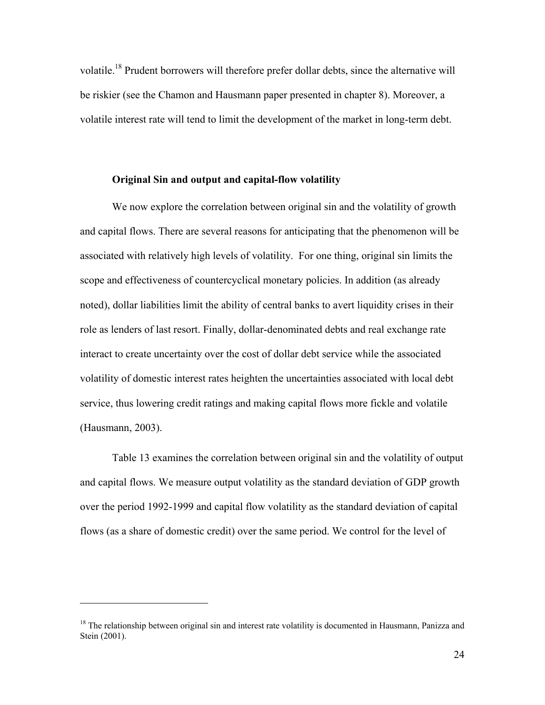volatile.18 Prudent borrowers will therefore prefer dollar debts, since the alternative will be riskier (see the Chamon and Hausmann paper presented in chapter 8). Moreover, a volatile interest rate will tend to limit the development of the market in long-term debt.

## **Original Sin and output and capital-flow volatility**

We now explore the correlation between original sin and the volatility of growth and capital flows. There are several reasons for anticipating that the phenomenon will be associated with relatively high levels of volatility. For one thing, original sin limits the scope and effectiveness of countercyclical monetary policies. In addition (as already noted), dollar liabilities limit the ability of central banks to avert liquidity crises in their role as lenders of last resort. Finally, dollar-denominated debts and real exchange rate interact to create uncertainty over the cost of dollar debt service while the associated volatility of domestic interest rates heighten the uncertainties associated with local debt service, thus lowering credit ratings and making capital flows more fickle and volatile (Hausmann, 2003).

 Table 13 examines the correlation between original sin and the volatility of output and capital flows. We measure output volatility as the standard deviation of GDP growth over the period 1992-1999 and capital flow volatility as the standard deviation of capital flows (as a share of domestic credit) over the same period. We control for the level of

<sup>&</sup>lt;sup>18</sup> The relationship between original sin and interest rate volatility is documented in Hausmann, Panizza and Stein (2001).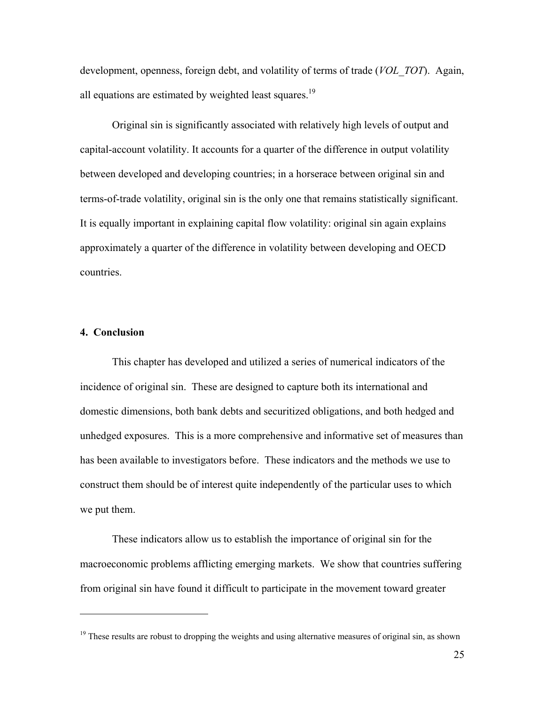development, openness, foreign debt, and volatility of terms of trade (*VOL\_TOT*). Again, all equations are estimated by weighted least squares.<sup>19</sup>

 Original sin is significantly associated with relatively high levels of output and capital-account volatility. It accounts for a quarter of the difference in output volatility between developed and developing countries; in a horserace between original sin and terms-of-trade volatility, original sin is the only one that remains statistically significant. It is equally important in explaining capital flow volatility: original sin again explains approximately a quarter of the difference in volatility between developing and OECD countries.

## **4. Conclusion**

<u>.</u>

This chapter has developed and utilized a series of numerical indicators of the incidence of original sin. These are designed to capture both its international and domestic dimensions, both bank debts and securitized obligations, and both hedged and unhedged exposures. This is a more comprehensive and informative set of measures than has been available to investigators before. These indicators and the methods we use to construct them should be of interest quite independently of the particular uses to which we put them.

These indicators allow us to establish the importance of original sin for the macroeconomic problems afflicting emerging markets. We show that countries suffering from original sin have found it difficult to participate in the movement toward greater

<sup>&</sup>lt;sup>19</sup> These results are robust to dropping the weights and using alternative measures of original sin, as shown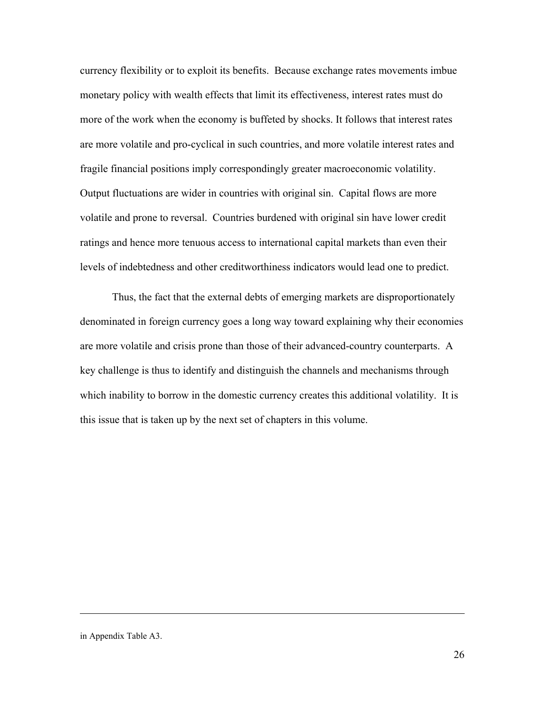currency flexibility or to exploit its benefits. Because exchange rates movements imbue monetary policy with wealth effects that limit its effectiveness, interest rates must do more of the work when the economy is buffeted by shocks. It follows that interest rates are more volatile and pro-cyclical in such countries, and more volatile interest rates and fragile financial positions imply correspondingly greater macroeconomic volatility. Output fluctuations are wider in countries with original sin. Capital flows are more volatile and prone to reversal. Countries burdened with original sin have lower credit ratings and hence more tenuous access to international capital markets than even their levels of indebtedness and other creditworthiness indicators would lead one to predict.

Thus, the fact that the external debts of emerging markets are disproportionately denominated in foreign currency goes a long way toward explaining why their economies are more volatile and crisis prone than those of their advanced-country counterparts. A key challenge is thus to identify and distinguish the channels and mechanisms through which inability to borrow in the domestic currency creates this additional volatility. It is this issue that is taken up by the next set of chapters in this volume.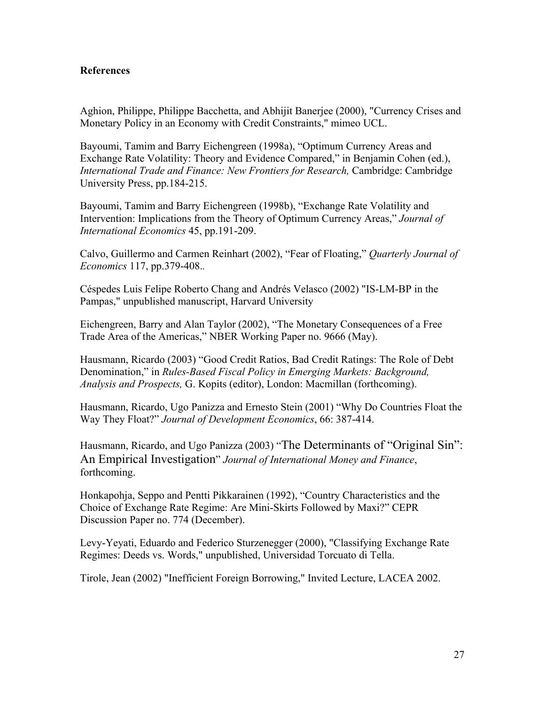# **References**

Aghion, Philippe, Philippe Bacchetta, and Abhijit Banerjee (2000), "Currency Crises and Monetary Policy in an Economy with Credit Constraints," mimeo UCL.

Bayoumi, Tamim and Barry Eichengreen (1998a), "Optimum Currency Areas and Exchange Rate Volatility: Theory and Evidence Compared," in Benjamin Cohen (ed.), *International Trade and Finance: New Frontiers for Research,* Cambridge: Cambridge University Press, pp.184-215.

Bayoumi, Tamim and Barry Eichengreen (1998b), "Exchange Rate Volatility and Intervention: Implications from the Theory of Optimum Currency Areas," *Journal of International Economics* 45, pp.191-209.

Calvo, Guillermo and Carmen Reinhart (2002), "Fear of Floating," *Quarterly Journal of Economics* 117, pp.379-408.*.*

Céspedes Luis Felipe Roberto Chang and Andrés Velasco (2002) "IS-LM-BP in the Pampas," unpublished manuscript, Harvard University

Eichengreen, Barry and Alan Taylor (2002), "The Monetary Consequences of a Free Trade Area of the Americas," NBER Working Paper no. 9666 (May).

Hausmann, Ricardo (2003) "Good Credit Ratios, Bad Credit Ratings: The Role of Debt Denomination," in *Rules-Based Fiscal Policy in Emerging Markets: Background, Analysis and Prospects,* G. Kopits (editor), London: Macmillan (forthcoming).

Hausmann, Ricardo, Ugo Panizza and Ernesto Stein (2001) "Why Do Countries Float the Way They Float?î *Journal of Development Economics*, 66: 387-414.

Hausmann, Ricardo, and Ugo Panizza (2003) "The Determinants of "Original Sin": An Empirical Investigation" Journal of International Money and Finance, forthcoming.

Honkapohja, Seppo and Pentti Pikkarainen (1992), "Country Characteristics and the Choice of Exchange Rate Regime: Are Mini-Skirts Followed by Maxi?" CEPR Discussion Paper no. 774 (December).

Levy-Yeyati, Eduardo and Federico Sturzenegger (2000), "Classifying Exchange Rate Regimes: Deeds vs. Words," unpublished, Universidad Torcuato di Tella.

Tirole, Jean (2002) "Inefficient Foreign Borrowing," Invited Lecture, LACEA 2002.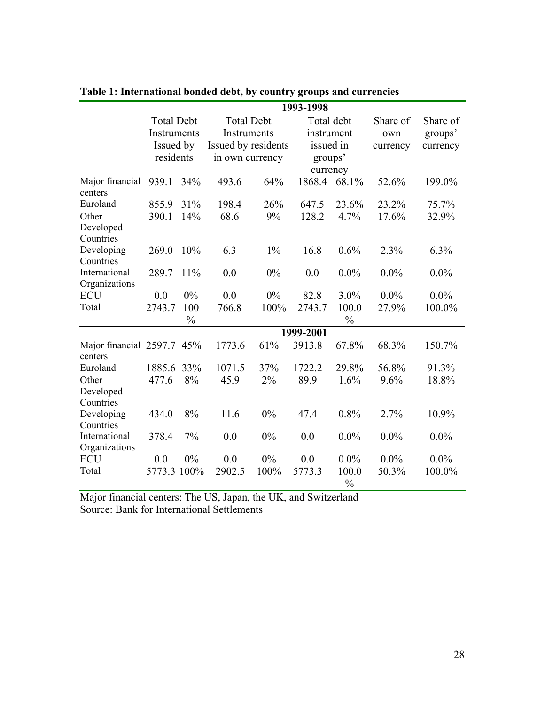|                                       |                   | 1993-1998     |                   |                     |           |                        |          |          |  |
|---------------------------------------|-------------------|---------------|-------------------|---------------------|-----------|------------------------|----------|----------|--|
|                                       | <b>Total Debt</b> |               | <b>Total Debt</b> |                     |           | Total debt             |          | Share of |  |
|                                       | Instruments       |               | Instruments       |                     |           | instrument             |          | groups'  |  |
|                                       | Issued by         |               |                   | Issued by residents |           | issued in              | currency | currency |  |
|                                       | residents         |               |                   | in own currency     |           | groups'                |          |          |  |
|                                       |                   |               |                   |                     | currency  |                        |          |          |  |
| Major financial<br>centers            | 939.1             | 34%           | 493.6             | 64%                 | 1868.4    | 68.1%                  | 52.6%    | 199.0%   |  |
| Euroland                              | 855.9             | 31%           | 198.4             | 26%                 | 647.5     | 23.6%                  | 23.2%    | 75.7%    |  |
| Other                                 | 390.1             | 14%           | 68.6              | 9%                  | 128.2     | 4.7%                   | 17.6%    | 32.9%    |  |
| Developed                             |                   |               |                   |                     |           |                        |          |          |  |
| Countries                             |                   |               |                   |                     |           |                        |          |          |  |
| Developing                            | 269.0             | 10%           | 6.3               | $1\%$               | 16.8      | 0.6%                   | 2.3%     | 6.3%     |  |
| Countries                             |                   |               |                   |                     |           |                        |          |          |  |
| International                         | 289.7             | 11%           | 0.0               | 0%                  | 0.0       | $0.0\%$                | $0.0\%$  | $0.0\%$  |  |
| Organizations                         |                   |               |                   |                     |           |                        |          |          |  |
| <b>ECU</b>                            | 0.0               | 0%            | 0.0               | 0%                  | 82.8      | 3.0%                   | $0.0\%$  | $0.0\%$  |  |
| Total                                 | 2743.7            | 100           | 766.8             | 100%                | 2743.7    | 100.0                  | 27.9%    | 100.0%   |  |
|                                       |                   | $\frac{0}{0}$ |                   |                     |           | $\frac{0}{0}$          |          |          |  |
|                                       |                   |               |                   |                     | 1999-2001 |                        |          |          |  |
| Major financial 2597.7 45%<br>centers |                   |               | 1773.6            | 61%                 | 3913.8    | 67.8%                  | 68.3%    | 150.7%   |  |
| Euroland                              | 1885.6            | 33%           | 1071.5            | 37%                 | 1722.2    | 29.8%                  | 56.8%    | 91.3%    |  |
| Other                                 | 477.6             | 8%            | 45.9              | 2%                  | 89.9      | 1.6%                   | 9.6%     | 18.8%    |  |
| Developed                             |                   |               |                   |                     |           |                        |          |          |  |
| Countries                             |                   |               |                   |                     |           |                        |          |          |  |
| Developing                            | 434.0             | 8%            | 11.6              | 0%                  | 47.4      | 0.8%                   | 2.7%     | 10.9%    |  |
| Countries                             |                   |               |                   |                     |           |                        |          |          |  |
| International                         | 378.4             | 7%            | 0.0               | 0%                  | 0.0       | $0.0\%$                | $0.0\%$  | $0.0\%$  |  |
| Organizations                         |                   |               |                   |                     |           |                        |          |          |  |
| <b>ECU</b>                            | 0.0               | $0\%$         | 0.0               | 0%                  | 0.0       | $0.0\%$                | $0.0\%$  | $0.0\%$  |  |
| Total                                 | 5773.3 100%       |               | 2902.5            | 100%                | 5773.3    | 100.0<br>$\frac{0}{0}$ | 50.3%    | 100.0%   |  |

# **Table 1: International bonded debt, by country groups and currencies**

Major financial centers: The US, Japan, the UK, and Switzerland Source: Bank for International Settlements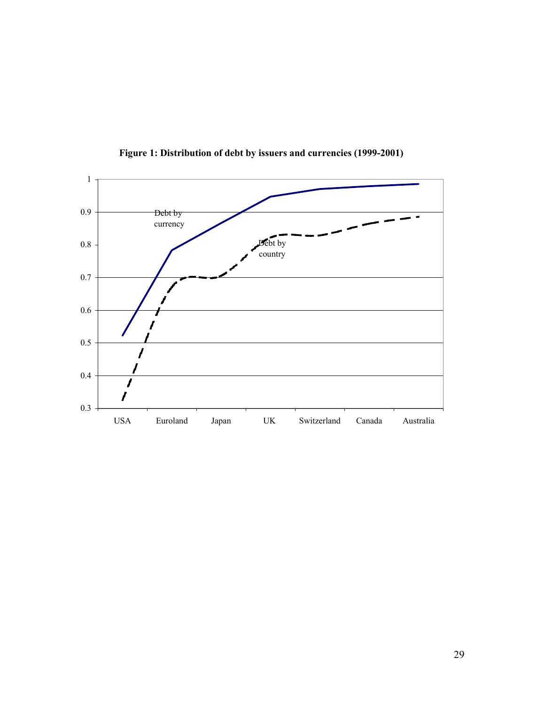

**Figure 1: Distribution of debt by issuers and currencies (1999-2001)**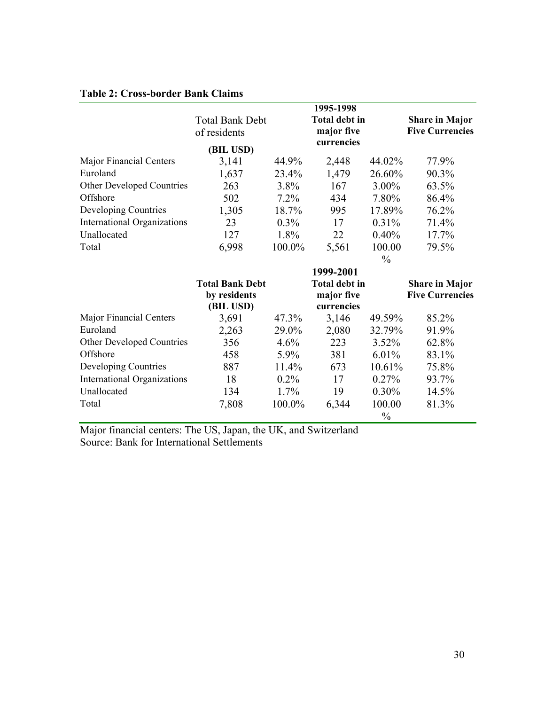# **Table 2: Cross-border Bank Claims**

|                                    | <b>Total Bank Debt</b> |           | 1995-1998<br><b>Total debt in</b> |               | <b>Share in Major</b>  |
|------------------------------------|------------------------|-----------|-----------------------------------|---------------|------------------------|
|                                    | of residents           |           | major five                        |               | <b>Five Currencies</b> |
|                                    | (BIL USD)              |           | currencies                        |               |                        |
| Major Financial Centers            | 3,141                  | 44.9%     | 2,448                             | 44.02%        | 77.9%                  |
| Euroland                           | 1,637                  | 23.4%     | 1,479                             | 26.60%        | 90.3%                  |
| Other Developed Countries          | 263                    | 3.8%      | 167                               | 3.00%         | 63.5%                  |
| Offshore                           | 502                    | $7.2\%$   | 434                               | 7.80%         | 86.4%                  |
| Developing Countries               | 1,305                  | 18.7%     | 995                               | 17.89%        | 76.2%                  |
| <b>International Organizations</b> | 23                     | $0.3\%$   | 17                                | 0.31%         | 71.4%                  |
| Unallocated                        | 127                    | 1.8%      | 22                                | 0.40%         | 17.7%                  |
| Total                              | 6,998                  | $100.0\%$ | 5,561                             | 100.00        | 79.5%                  |
|                                    |                        |           |                                   | $\frac{0}{0}$ |                        |
|                                    |                        |           | 1999-2001                         |               |                        |
|                                    | <b>Total Bank Debt</b> |           | <b>Total debt in</b>              |               | <b>Share in Major</b>  |
|                                    | by residents           |           | major five                        |               | <b>Five Currencies</b> |
|                                    | (BIL USD)              |           | currencies                        |               |                        |
| Major Financial Centers            | 3,691                  | 47.3%     | 3,146                             | 49.59%        | 85.2%                  |
| Euroland                           | 2,263                  | 29.0%     | 2,080                             | 32.79%        | 91.9%                  |
| Other Developed Countries          | 356                    | 4.6%      | 223                               | 3.52%         | 62.8%                  |
| Offshore                           | 458                    | 5.9%      | 381                               | 6.01%         | 83.1%                  |
| Developing Countries               | 887                    | 11.4%     | 673                               | 10.61%        | 75.8%                  |
| <b>International Organizations</b> | 18                     | 0.2%      | 17                                | 0.27%         | 93.7%                  |
| Unallocated                        | 134                    | $1.7\%$   | 19                                | $0.30\%$      | 14.5%                  |
| Total                              | 7,808                  | 100.0%    | 6,344                             | 100.00        | 81.3%                  |
|                                    |                        |           |                                   | $\frac{0}{0}$ |                        |

Major financial centers: The US, Japan, the UK, and Switzerland Source: Bank for International Settlements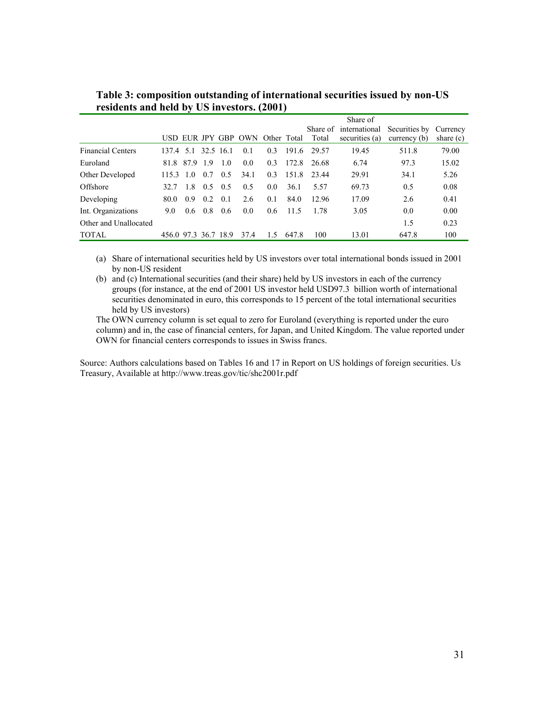|                          |                      |               |                 |     |                                 |               |       |        | Share of               |                        |             |
|--------------------------|----------------------|---------------|-----------------|-----|---------------------------------|---------------|-------|--------|------------------------|------------------------|-------------|
|                          |                      |               |                 |     |                                 |               |       |        | Share of international | Securities by Currency |             |
|                          |                      |               |                 |     | USD EUR JPY GBP OWN Other Total |               |       | Total  | securities (a)         | currency $(b)$         | share $(c)$ |
| <b>Financial Centers</b> | 137.4 5.1 32.5 16.1  |               |                 |     | 0.1                             | 0.3           | 1916  | -29.57 | 19.45                  | 511.8                  | 79.00       |
| Euroland                 |                      | 81.8 87.9 1.9 |                 | 1.0 | 0.0                             | 0.3           | 172.8 | 26.68  | 6.74                   | 97.3                   | 15.02       |
| Other Developed          | $1153 \quad 10$      |               | 0.7             | 0.5 | 34.1                            | 0.3           | 1518  | 23.44  | 29.91                  | 34.1                   | 5.26        |
| Offshore                 | 32.7                 | 1.8           | 0.5             | 0.5 | 0.5                             | 0.0           | 36.1  | 5.57   | 69.73                  | 0.5                    | 0.08        |
| Developing               | 80.0                 | 09            | 0.2             | 0.1 | 2.6                             | 0.1           | 84.0  | 12.96  | 17.09                  | 2.6                    | 0.41        |
| Int. Organizations       | 9.0                  |               | $0.6 \quad 0.8$ | 0.6 | 0.0                             | $0.6^{\circ}$ | 11.5  | 1.78   | 3.05                   | 0.0                    | 0.00        |
| Other and Unallocated    |                      |               |                 |     |                                 |               |       |        |                        | 1.5                    | 0.23        |
| <b>TOTAL</b>             | 456.0 97.3 36.7 18.9 |               |                 |     | 37.4                            | 15            | 647.8 | 100    | 13.01                  | 647.8                  | 100         |
|                          |                      |               |                 |     |                                 |               |       |        |                        |                        |             |

**Table 3: composition outstanding of international securities issued by non-US residents and held by US investors. (2001)** 

(a) Share of international securities held by US investors over total international bonds issued in 2001 by non-US resident

(b) and (c) International securities (and their share) held by US investors in each of the currency groups (for instance, at the end of 2001 US investor held USD97.3 billion worth of international securities denominated in euro, this corresponds to 15 percent of the total international securities held by US investors)

The OWN currency column is set equal to zero for Euroland (everything is reported under the euro column) and in, the case of financial centers, for Japan, and United Kingdom. The value reported under OWN for financial centers corresponds to issues in Swiss francs.

Source: Authors calculations based on Tables 16 and 17 in Report on US holdings of foreign securities. Us Treasury, Available at http://www.treas.gov/tic/shc2001r.pdf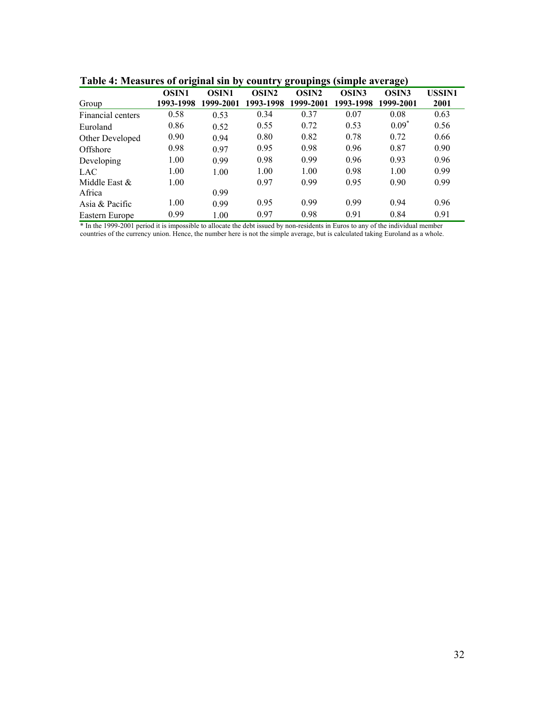| таліс т. інсамі ся от отідінаї яні бу сочині у дгопридя (яніріс атстаде) |              |              |                   |                   |                   |                   |        |
|--------------------------------------------------------------------------|--------------|--------------|-------------------|-------------------|-------------------|-------------------|--------|
|                                                                          | <b>OSIN1</b> | <b>OSIN1</b> | OSIN <sub>2</sub> | OSIN <sub>2</sub> | OSIN <sub>3</sub> | OSIN <sub>3</sub> | USSIN1 |
| Group                                                                    | 1993-1998    | 1999-2001    | 1993-1998         | 1999-2001         | 1993-1998         | 1999-2001         | 2001   |
| Financial centers                                                        | 0.58         | 0.53         | 0.34              | 0.37              | 0.07              | 0.08              | 0.63   |
| Euroland                                                                 | 0.86         | 0.52         | 0.55              | 0.72              | 0.53              | $0.09^*$          | 0.56   |
| Other Developed                                                          | 0.90         | 0.94         | 0.80              | 0.82              | 0.78              | 0.72              | 0.66   |
| Offshore                                                                 | 0.98         | 0.97         | 0.95              | 0.98              | 0.96              | 0.87              | 0.90   |
| Developing                                                               | 1.00         | 0.99         | 0.98              | 0.99              | 0.96              | 0.93              | 0.96   |
| LAC.                                                                     | 1.00         | 1.00         | 1.00              | 1.00              | 0.98              | 1.00              | 0.99   |
| Middle East &                                                            | 1.00         |              | 0.97              | 0.99              | 0.95              | 0.90              | 0.99   |
| Africa                                                                   |              | 0.99         |                   |                   |                   |                   |        |
| Asia & Pacific                                                           | 1.00         | 0.99         | 0.95              | 0.99              | 0.99              | 0.94              | 0.96   |
| Eastern Europe                                                           | 0.99         | 1.00         | 0.97              | 0.98              | 0.91              | 0.84              | 0.91   |
|                                                                          |              |              |                   |                   |                   |                   |        |

**Table 4: Measures of original sin by country groupings (simple average)** 

\* In the 1999-2001 period it is impossible to allocate the debt issued by non-residents in Euros to any of the individual member countries of the currency union. Hence, the number here is not the simple average, but is calculated taking Euroland as a whole.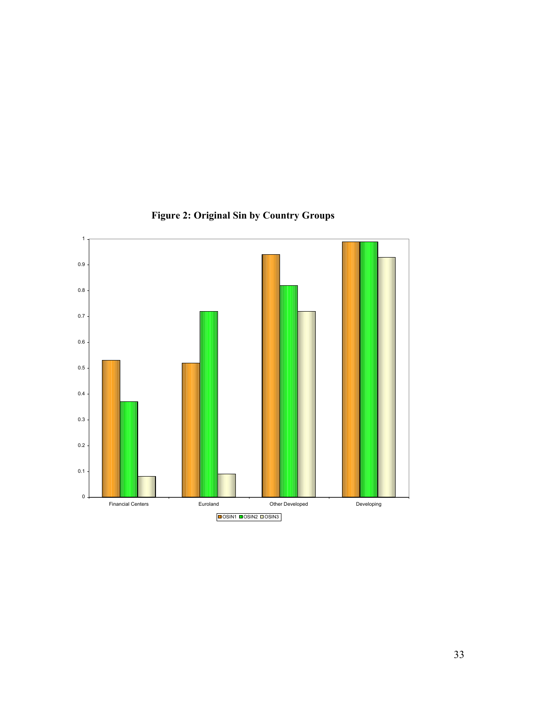

**Figure 2: Original Sin by Country Groups**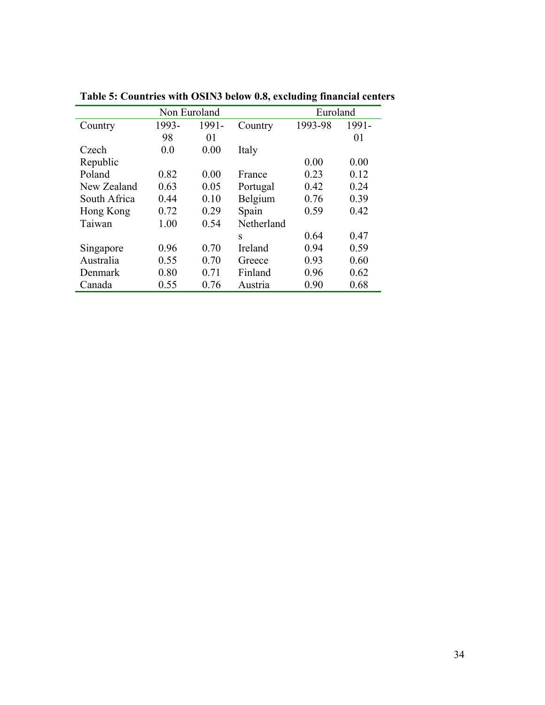|              | Non Euroland |       |            |         |       |  |
|--------------|--------------|-------|------------|---------|-------|--|
| Country      | 1993-        | 1991- | Country    | 1993-98 | 1991- |  |
|              | 98           | 01    |            |         | 01    |  |
| Czech        | 0.0          | 0.00  | Italy      |         |       |  |
| Republic     |              |       |            | 0.00    | 0.00  |  |
| Poland       | 0.82         | 0.00  | France     | 0.23    | 0.12  |  |
| New Zealand  | 0.63         | 0.05  | Portugal   | 0.42    | 0.24  |  |
| South Africa | 0.44         | 0.10  | Belgium    | 0.76    | 0.39  |  |
| Hong Kong    | 0.72         | 0.29  | Spain      | 0.59    | 0.42  |  |
| Taiwan       | 1.00         | 0.54  | Netherland |         |       |  |
|              |              |       | S          | 0.64    | 0.47  |  |
| Singapore    | 0.96         | 0.70  | Ireland    | 0.94    | 0.59  |  |
| Australia    | 0.55         | 0.70  | Greece     | 0.93    | 0.60  |  |
| Denmark      | 0.80         | 0.71  | Finland    | 0.96    | 0.62  |  |
| Canada       | 0.55         | 0.76  | Austria    | 0.90    | 0.68  |  |

**Table 5: Countries with OSIN3 below 0.8, excluding financial centers**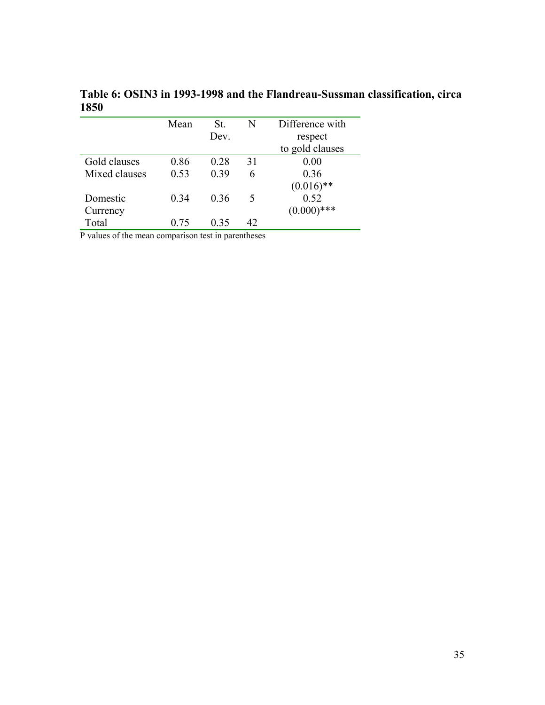| Mean | St.  | N  | Difference with |
|------|------|----|-----------------|
|      | Dev. |    | respect         |
|      |      |    | to gold clauses |
| 0.86 | 0.28 | 31 | 0.00            |
| 0.53 | 0.39 | 6  | 0.36            |
|      |      |    | $(0.016)$ **    |
| 0.34 | 0.36 | 5  | 0.52            |
|      |      |    | $(0.000)$ ***   |
| 0.75 | 0.35 | 42 |                 |
|      |      |    |                 |

**Table 6: OSIN3 in 1993-1998 and the Flandreau-Sussman classification, circa 1850** 

P values of the mean comparison test in parentheses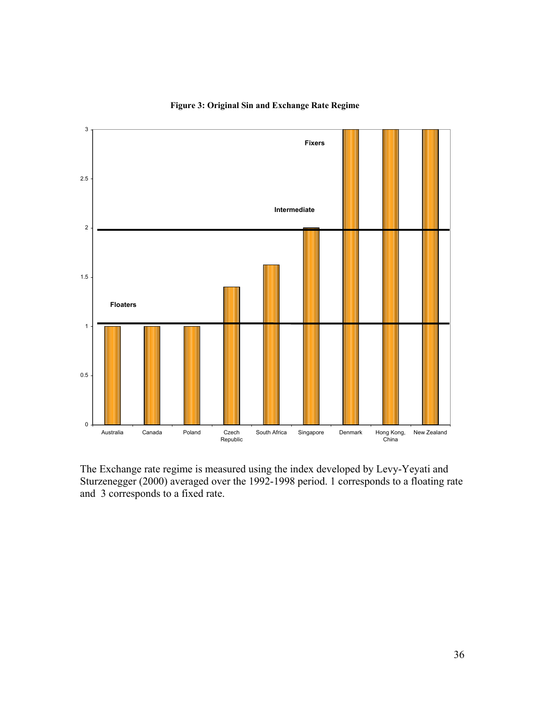

## **Figure 3: Original Sin and Exchange Rate Regime**

The Exchange rate regime is measured using the index developed by Levy-Yeyati and Sturzenegger (2000) averaged over the 1992-1998 period. 1 corresponds to a floating rate and 3 corresponds to a fixed rate.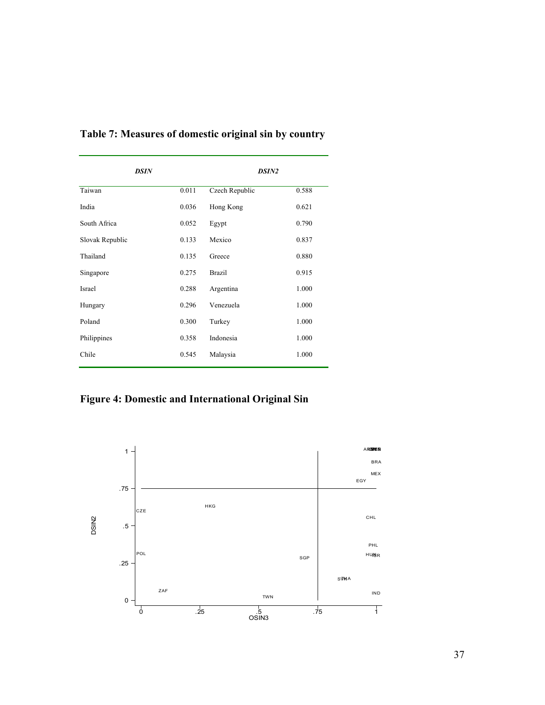| <b>DSIN</b>     |       | <b>DSIN2</b>   |       |  |  |
|-----------------|-------|----------------|-------|--|--|
| Taiwan          | 0.011 | Czech Republic | 0.588 |  |  |
| India           | 0.036 | Hong Kong      | 0.621 |  |  |
| South Africa    | 0.052 | Egypt          | 0.790 |  |  |
| Slovak Republic | 0.133 | Mexico         | 0.837 |  |  |
| Thailand        | 0.135 | Greece         | 0.880 |  |  |
| Singapore       | 0.275 | <b>Brazil</b>  | 0.915 |  |  |
| <b>Israel</b>   | 0.288 | Argentina      | 1.000 |  |  |
| Hungary         | 0.296 | Venezuela      | 1.000 |  |  |
| Poland          | 0.300 | Turkey         | 1.000 |  |  |
| Philippines     | 0.358 | Indonesia      | 1.000 |  |  |
| Chile           | 0.545 | Malaysia       | 1.000 |  |  |

**Table 7: Measures of domestic original sin by country** 

**Figure 4: Domestic and International Original Sin** 

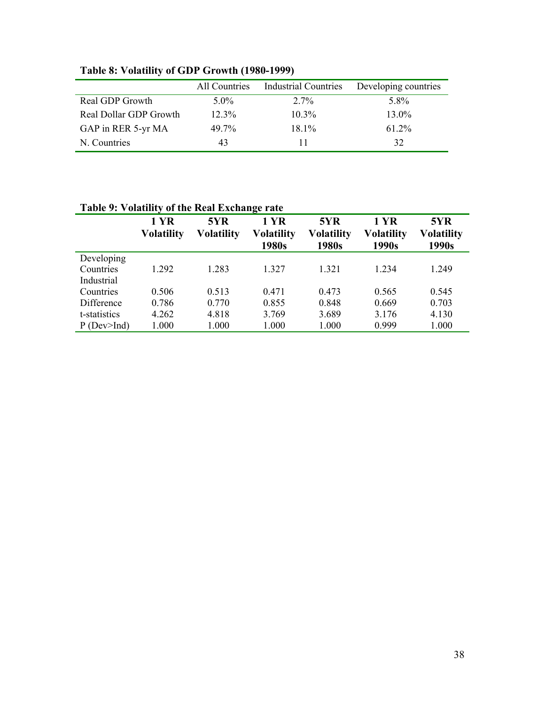|                        | All Countries | <b>Industrial Countries</b> | Developing countries |
|------------------------|---------------|-----------------------------|----------------------|
| Real GDP Growth        | $5.0\%$       | $2.7\%$                     | 5.8%                 |
| Real Dollar GDP Growth | $12.3\%$      | $10.3\%$                    | $13.0\%$             |
| GAP in RER 5-yr MA     | 49.7%         | $18.1\%$                    | 61.2%                |
| N. Countries           | 43            |                             | 32                   |

**Table 8: Volatility of GDP Growth (1980-1999)** 

# **Table 9: Volatility of the Real Exchange rate**

|                   | <b>1 YR</b>       | 5YR               | 1 YR              | 5YR        | <b>1 YR</b>       | 5YR               |
|-------------------|-------------------|-------------------|-------------------|------------|-------------------|-------------------|
|                   | <b>Volatility</b> | <b>Volatility</b> | <b>Volatility</b> | Volatility | <b>Volatility</b> | <b>Volatility</b> |
|                   |                   |                   | 1980s             | 1980s      | 1990s             | 1990s             |
| Developing        |                   |                   |                   |            |                   |                   |
| Countries         | 1.292             | 1.283             | 1 327             | 1.321      | 1.234             | 1.249             |
| Industrial        |                   |                   |                   |            |                   |                   |
| Countries         | 0.506             | 0.513             | 0.471             | 0.473      | 0.565             | 0.545             |
| Difference        | 0.786             | 0.770             | 0.855             | 0.848      | 0.669             | 0.703             |
| t-statistics      | 4.262             | 4.818             | 3.769             | 3.689      | 3.176             | 4.130             |
| $P$ (Dev $>$ Ind) | 1.000             | 1.000             | 1.000             | 1.000      | 0.999             | 1.000             |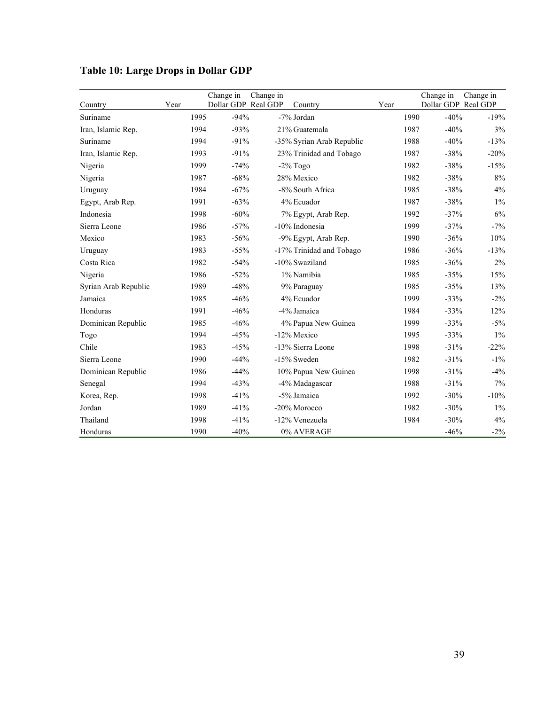| Country              | Year |      | Change in<br>Dollar GDP Real GDP | Change in | Country                   | Year |      | Change in<br>Dollar GDP Real GDP | Change in |
|----------------------|------|------|----------------------------------|-----------|---------------------------|------|------|----------------------------------|-----------|
| Suriname             |      | 1995 | $-94%$                           |           | -7% Jordan                |      | 1990 | $-40%$                           | $-19%$    |
| Iran, Islamic Rep.   |      | 1994 | $-93%$                           |           | 21% Guatemala             |      | 1987 | $-40%$                           | 3%        |
| Suriname             |      | 1994 | $-91%$                           |           | -35% Syrian Arab Republic |      | 1988 | $-40%$                           | $-13%$    |
| Iran, Islamic Rep.   |      | 1993 | $-91%$                           |           | 23% Trinidad and Tobago   |      | 1987 | $-38%$                           | $-20%$    |
| Nigeria              |      | 1999 | $-74%$                           |           | $-2\%$ Togo               |      | 1982 | $-38%$                           | $-15%$    |
| Nigeria              |      | 1987 | $-68%$                           |           | 28% Mexico                |      | 1982 | $-38%$                           | $8\%$     |
| Uruguay              |      | 1984 | $-67%$                           |           | -8% South Africa          |      | 1985 | $-38%$                           | 4%        |
| Egypt, Arab Rep.     |      | 1991 | $-63%$                           |           | 4% Ecuador                |      | 1987 | $-38%$                           | $1\%$     |
| Indonesia            |      | 1998 | $-60%$                           |           | 7% Egypt, Arab Rep.       |      | 1992 | $-37%$                           | 6%        |
| Sierra Leone         |      | 1986 | $-57%$                           |           | -10% Indonesia            |      | 1999 | $-37%$                           | $-7%$     |
| Mexico               |      | 1983 | $-56%$                           |           | -9% Egypt, Arab Rep.      |      | 1990 | $-36%$                           | 10%       |
| Uruguay              |      | 1983 | $-55%$                           |           | -17% Trinidad and Tobago  |      | 1986 | $-36%$                           | $-13%$    |
| Costa Rica           |      | 1982 | $-54%$                           |           | -10% Swaziland            |      | 1985 | $-36%$                           | 2%        |
| Nigeria              |      | 1986 | $-52%$                           |           | 1% Namibia                |      | 1985 | $-35%$                           | 15%       |
| Syrian Arab Republic |      | 1989 | $-48%$                           |           | 9% Paraguay               |      | 1985 | $-35%$                           | 13%       |
| Jamaica              |      | 1985 | $-46%$                           |           | 4% Ecuador                |      | 1999 | $-33%$                           | $-2\%$    |
| Honduras             |      | 1991 | $-46%$                           |           | -4% Jamaica               |      | 1984 | $-33%$                           | 12%       |
| Dominican Republic   |      | 1985 | $-46%$                           |           | 4% Papua New Guinea       |      | 1999 | $-33%$                           | $-5%$     |
| Togo                 |      | 1994 | $-45%$                           |           | -12% Mexico               |      | 1995 | $-33%$                           | $1\%$     |
| Chile                |      | 1983 | $-45%$                           |           | -13% Sierra Leone         |      | 1998 | $-31%$                           | $-22%$    |
| Sierra Leone         |      | 1990 | $-44%$                           |           | -15% Sweden               |      | 1982 | $-31%$                           | $-1\%$    |
| Dominican Republic   |      | 1986 | $-44%$                           |           | 10% Papua New Guinea      |      | 1998 | $-31%$                           | $-4%$     |
| Senegal              |      | 1994 | $-43%$                           |           | -4% Madagascar            |      | 1988 | $-31%$                           | 7%        |
| Korea, Rep.          |      | 1998 | $-41%$                           |           | -5% Jamaica               |      | 1992 | $-30%$                           | $-10%$    |
| Jordan               |      | 1989 | $-41%$                           |           | -20% Morocco              |      | 1982 | $-30%$                           | $1\%$     |
| Thailand             |      | 1998 | $-41%$                           |           | -12% Venezuela            |      | 1984 | $-30%$                           | 4%        |
| Honduras             |      | 1990 | $-40%$                           |           | 0% AVERAGE                |      |      | $-46%$                           | $-2\%$    |

# **Table 10: Large Drops in Dollar GDP**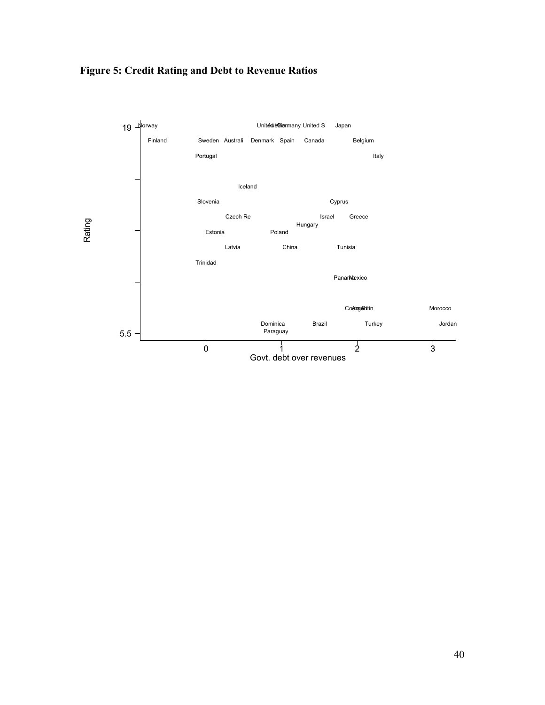

# **Figure 5: Credit Rating and Debt to Revenue Ratios**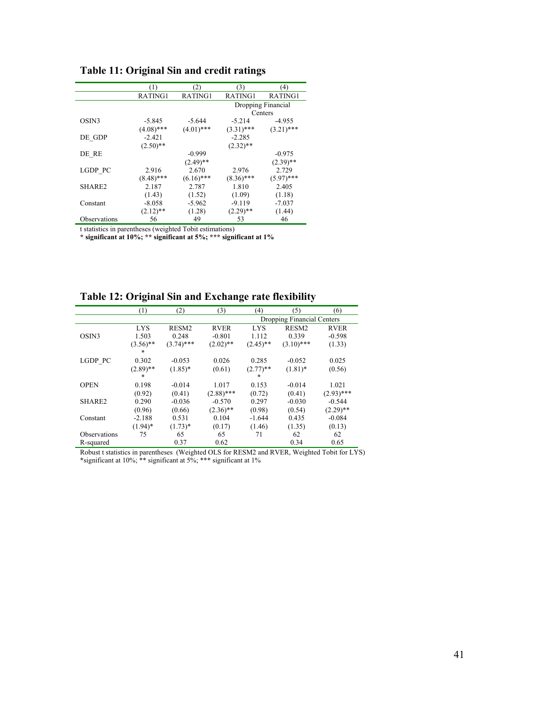|                    | (1)          | (2)          | (3)          | (4)                |
|--------------------|--------------|--------------|--------------|--------------------|
|                    | RATING1      | RATING1      | RATING1      | RATING1            |
|                    |              |              |              | Dropping Financial |
|                    |              |              |              | Centers            |
| OSIN3              | $-5.845$     | $-5.644$     | $-5.214$     | $-4.955$           |
|                    | $(4.08)$ *** | $(4.01)$ *** | $(3.31)$ *** | $(3.21)$ ***       |
| DE_GDP             | $-2.421$     |              | $-2.285$     |                    |
|                    | $(2.50)$ **  |              | $(2.32)$ **  |                    |
| DE RE              |              | $-0.999$     |              | $-0.975$           |
|                    |              | $(2.49)$ **  |              | $(2.39)$ **        |
| LGDP PC            | 2.916        | 2.670        | 2.976        | 2.729              |
|                    | $(8.48)$ *** | $(6.16)$ *** | $(8.36)$ *** | $(5.97)$ ***       |
| SHARE <sub>2</sub> | 2.187        | 2.787        | 1.810        | 2.405              |
|                    | (1.43)       | (1.52)       | (1.09)       | (1.18)             |
| Constant           | $-8.058$     | $-5.962$     | $-9.119$     | $-7.037$           |
|                    | $(2.12)$ **  | (1.28)       | $(2.29)$ **  | (1.44)             |
| Observations       | 56           | 49           | 53           | 46                 |

**Table 11: Original Sin and credit ratings**

t statistics in parentheses (weighted Tobit estimations)

**\* significant at 10%; \*\* significant at 5%; \*\*\* significant at 1%** 

**Table 12: Original Sin and Exchange rate flexibility** 

|                     | (1)         | (2)          | (3)          | (4)         | (5)                        | (6)          |  |  |  |
|---------------------|-------------|--------------|--------------|-------------|----------------------------|--------------|--|--|--|
|                     |             |              |              |             | Dropping Financial Centers |              |  |  |  |
|                     | <b>LYS</b>  | RESM2        | <b>RVER</b>  | <b>LYS</b>  | RESM2                      | <b>RVER</b>  |  |  |  |
| OSIN3               | 1.503       | 0.248        | $-0.801$     | 1.112       | 0.339                      | $-0.598$     |  |  |  |
|                     | $(3.56)$ ** | $(3.74)$ *** | $(2.02)$ **  | $(2.45)$ ** | $(3.10)$ ***               | (1.33)       |  |  |  |
|                     | *           |              |              |             |                            |              |  |  |  |
| LGDP PC             | 0.302       | $-0.053$     | 0.026        | 0.285       | $-0.052$                   | 0.025        |  |  |  |
|                     | $(2.89)$ ** | $(1.85)^*$   | (0.61)       | $(2.77)$ ** | $(1.81)^*$                 | (0.56)       |  |  |  |
|                     | *           |              |              | *           |                            |              |  |  |  |
| <b>OPEN</b>         | 0.198       | $-0.014$     | 1.017        | 0.153       | $-0.014$                   | 1.021        |  |  |  |
|                     | (0.92)      | (0.41)       | $(2.88)$ *** | (0.72)      | (0.41)                     | $(2.93)$ *** |  |  |  |
| SHARE2              | 0.290       | $-0.036$     | $-0.570$     | 0.297       | $-0.030$                   | $-0.544$     |  |  |  |
|                     | (0.96)      | (0.66)       | $(2.36)$ **  | (0.98)      | (0.54)                     | $(2.29)$ **  |  |  |  |
| Constant            | $-2.188$    | 0.531        | 0.104        | $-1.644$    | 0.435                      | $-0.084$     |  |  |  |
|                     | $(1.94)^*$  | $(1.73)*$    | (0.17)       | (1.46)      | (1.35)                     | (0.13)       |  |  |  |
| <b>Observations</b> | 75          | 65           | 65           | 71          | 62                         | 62           |  |  |  |
| R-squared           |             | 0.37         | 0.62         |             | 0.34                       | 0.65         |  |  |  |

Robust t statistics in parentheses (Weighted OLS for RESM2 and RVER, Weighted Tobit for LYS) \*significant at 10%; \*\* significant at 5%; \*\*\* significant at 1%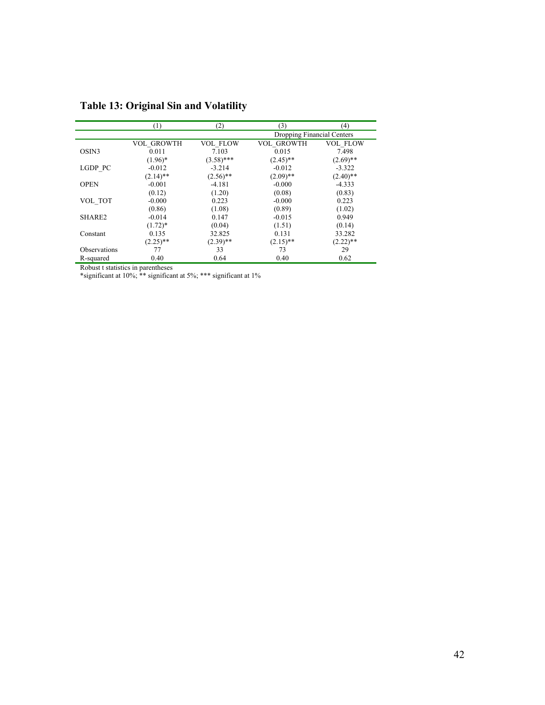|                     | (1)         | (2)             | (3)                        | (4)             |
|---------------------|-------------|-----------------|----------------------------|-----------------|
|                     |             |                 | Dropping Financial Centers |                 |
|                     | VOL_GROWTH  | <b>VOL FLOW</b> | <b>VOL GROWTH</b>          | <b>VOL FLOW</b> |
| OSIN3               | 0.011       | 7.103           | 0.015                      | 7.498           |
|                     | $(1.96)^*$  | $(3.58)$ ***    | $(2.45)$ **                | $(2.69)$ **     |
| LGDP PC             | $-0.012$    | $-3.214$        | $-0.012$                   | $-3.322$        |
|                     | $(2.14)$ ** | $(2.56)$ **     | $(2.09)$ **                | $(2.40)$ **     |
| <b>OPEN</b>         | $-0.001$    | $-4.181$        | $-0.000$                   | $-4.333$        |
|                     | (0.12)      | (1.20)          | (0.08)                     | (0.83)          |
| VOL TOT             | $-0.000$    | 0.223           | $-0.000$                   | 0.223           |
|                     | (0.86)      | (1.08)          | (0.89)                     | (1.02)          |
| SHARE2              | $-0.014$    | 0.147           | $-0.015$                   | 0.949           |
|                     | $(1.72)^*$  | (0.04)          | (1.51)                     | (0.14)          |
| Constant            | 0.135       | 32.825          | 0.131                      | 33.282          |
|                     | $(2.25)$ ** | $(2.39)$ **     | $(2.15)$ **                | $(2.22)$ **     |
| <b>Observations</b> | 77          | 33              | 73                         | 29              |
| R-squared           | 0.40        | 0.64            | 0.40                       | 0.62            |

**Table 13: Original Sin and Volatility** 

Robust t statistics in parentheses

\*significant at 10%; \*\* significant at 5%; \*\*\* significant at 1%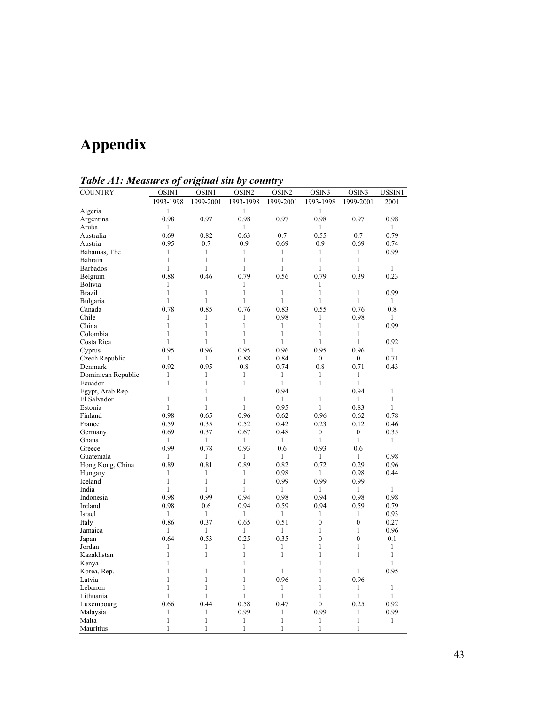# **Appendix**

| $\frac{1}{2}$ wore $\frac{1}{2}$ . The word to $\frac{1}{2}$ |                              | <u> s</u><br>s oy |                   | $\sim$            |                              |                  |              |
|--------------------------------------------------------------|------------------------------|-------------------|-------------------|-------------------|------------------------------|------------------|--------------|
| <b>COUNTRY</b>                                               | OSIN1                        | OSIN1             | OSIN <sub>2</sub> | OSIN <sub>2</sub> | OSIN3                        | OSIN3            | USSIN1       |
|                                                              | 1993-1998                    | 1999-2001         | 1993-1998         | 1999-2001         | 1993-1998                    | 1999-2001        | 2001         |
| Algeria                                                      | $\mathbf{1}$                 |                   | $\mathbf{1}$      |                   | $\mathbf{1}$                 |                  |              |
| Argentina                                                    | 0.98                         | 0.97              | 0.98              | 0.97              | 0.98                         | 0.97             | 0.98         |
| Aruba                                                        | $\mathbf{1}$                 |                   | $\mathbf{1}$      |                   | $\mathbf{1}$                 |                  | $\mathbf{1}$ |
| Australia                                                    | 0.69                         | 0.82              | 0.63              | 0.7               | 0.55                         | 0.7              | 0.79         |
| Austria                                                      | 0.95                         | 0.7               | 0.9               | 0.69              | 0.9                          | 0.69             | 0.74         |
| Bahamas, The                                                 | 1                            | 1                 | 1                 | 1                 | 1                            | 1                | 0.99         |
| Bahrain                                                      | $\mathbf{1}$                 | $\mathbf{1}$      | $\mathbf{1}$      | $\mathbf{1}$      | $\mathbf{1}$                 | $\mathbf{1}$     |              |
| Barbados                                                     | $\mathbf{1}$                 | $\mathbf{1}$      | $\mathbf{1}$      | $\mathbf{1}$      | $\mathbf{1}$                 | $\mathbf{1}$     | $\mathbf{1}$ |
| Belgium                                                      | 0.88                         | 0.46              | 0.79              | 0.56              | 0.79                         | 0.39             | 0.23         |
| Bolivia                                                      | 1                            |                   | 1                 |                   | $\mathbf{1}$                 |                  |              |
| Brazil                                                       | $\mathbf{1}$                 | $\mathbf{1}$      | $\mathbf{1}$      | $\mathbf{1}$      | $\mathbf{1}$                 | $\mathbf{1}$     | 0.99         |
| Bulgaria                                                     | $\mathbf{1}$                 | 1                 | $\mathbf{1}$      | 1                 | $\mathbf{1}$                 | $\mathbf{1}$     | $\mathbf{1}$ |
| Canada                                                       | 0.78                         | 0.85              | 0.76              | 0.83              | 0.55                         | 0.76             | 0.8          |
| Chile                                                        | 1                            | 1                 | 1                 | 0.98              | 1                            | 0.98             | 1            |
| China                                                        | $\mathbf{1}$                 | $\mathbf{1}$      | 1                 | 1                 | $\mathbf{1}$                 | $\mathbf{1}$     | 0.99         |
| Colombia                                                     | $\mathbf{1}$                 | $\mathbf{1}$      | $\mathbf{1}$      | $\mathbf{1}$      | $\mathbf{1}$                 | $\mathbf{1}$     |              |
| Costa Rica                                                   | $\mathbf{1}$                 | $\mathbf{1}$      | $\mathbf{1}$      | $\mathbf{1}$      | 1                            | $\mathbf{1}$     | 0.92         |
| Cyprus                                                       | 0.95                         | 0.96              | 0.95              | 0.96              | 0.95                         | 0.96             | $\mathbf{1}$ |
| Czech Republic                                               | $\mathbf{1}$                 | $\mathbf{1}$      | 0.88              | 0.84              | $\boldsymbol{0}$             | $\overline{0}$   | 0.71         |
|                                                              | 0.92                         | 0.95              | 0.8               |                   | 0.8                          | 0.71             |              |
| Denmark                                                      |                              |                   |                   | 0.74              |                              |                  | 0.43         |
| Dominican Republic                                           | $\mathbf{1}$<br>$\mathbf{1}$ | 1                 | 1<br>$\mathbf{1}$ | $\mathbf{1}$      | $\mathbf{1}$<br>$\mathbf{1}$ | 1                |              |
| Ecuador                                                      |                              | 1                 |                   | $\mathbf{1}$      |                              | $\mathbf{1}$     |              |
| Egypt, Arab Rep.                                             |                              | 1                 |                   | 0.94              |                              | 0.94             | 1            |
| El Salvador                                                  | $\mathbf{1}$                 | $\mathbf{1}$      | $\mathbf{1}$      | $\mathbf{1}$      | $\mathbf{1}$                 | $\mathbf{1}$     | 1            |
| Estonia                                                      | $\mathbf{1}$                 | 1                 | $\mathbf{1}$      | 0.95              | 1                            | 0.83             | $\mathbf{1}$ |
| Finland                                                      | 0.98                         | 0.65              | 0.96              | 0.62              | 0.96                         | 0.62             | 0.78         |
| France                                                       | 0.59                         | 0.35              | 0.52              | 0.42              | 0.23                         | 0.12             | 0.46         |
| Germany                                                      | 0.69                         | 0.37              | 0.67              | 0.48              | $\mathbf{0}$                 | $\mathbf{0}$     | 0.35         |
| Ghana                                                        | 1                            | 1                 | 1                 | 1                 | $\mathbf{1}$                 | $\mathbf{1}$     | $\mathbf{1}$ |
| Greece                                                       | 0.99                         | 0.78              | 0.93              | 0.6               | 0.93                         | 0.6              |              |
| Guatemala                                                    | 1                            | 1                 | 1                 | 1                 | $\mathbf{1}$                 | 1                | 0.98         |
| Hong Kong, China                                             | 0.89                         | 0.81              | 0.89              | 0.82              | 0.72                         | 0.29             | 0.96         |
| Hungary                                                      | 1                            | $\mathbf{1}$      | 1                 | 0.98              | 1                            | 0.98             | 0.44         |
| Iceland                                                      | $\mathbf{1}$                 | $\mathbf{1}$      | $\mathbf{1}$      | 0.99              | 0.99                         | 0.99             |              |
| India                                                        | $\mathbf{1}$                 | $\mathbf{1}$      | $\mathbf{1}$      | $\mathbf{1}$      | $\mathbf{1}$                 | $\mathbf{1}$     | $\mathbf{1}$ |
| Indonesia                                                    | 0.98                         | 0.99              | 0.94              | 0.98              | 0.94                         | 0.98             | 0.98         |
| Ireland                                                      | 0.98                         | 0.6               | 0.94              | 0.59              | 0.94                         | 0.59             | 0.79         |
| Israel                                                       | $\mathbf{1}$                 | $\mathbf{1}$      | $\mathbf{1}$      | $\mathbf{1}$      | $\mathbf{1}$                 | $\mathbf{1}$     | 0.93         |
| Italy                                                        | 0.86                         | 0.37              | 0.65              | 0.51              | $\mathbf{0}$                 | $\mathbf{0}$     | 0.27         |
| Jamaica                                                      | 1                            | 1                 | 1                 | 1                 | 1                            | $\mathbf{1}$     | 0.96         |
| Japan                                                        | 0.64                         | 0.53              | 0.25              | 0.35              | $\boldsymbol{0}$             | $\boldsymbol{0}$ | 0.1          |
| Jordan                                                       | 1                            | 1                 | 1                 | 1                 | $\mathbf{1}$                 | $\mathbf{1}$     | $\mathbf{1}$ |
| Kazakhstan                                                   | $\mathbf{1}$                 | $\mathbf{1}$      | $\mathbf{1}$      | $\mathbf{1}$      | $\mathbf{1}$                 | $\mathbf{1}$     | $\mathbf{1}$ |
| Kenya                                                        | 1                            |                   | $\mathbf{1}$      |                   | $\mathbf{1}$                 |                  | $\mathbf{1}$ |
| Korea, Rep.                                                  | 1                            | 1                 | 1                 | $\mathbf{1}$      | 1                            | 1                | 0.95         |
| Latvia                                                       | 1                            | $\mathbf{1}$      | $\mathbf{1}$      | 0.96              | $\mathbf{1}$                 | 0.96             |              |
| Lebanon                                                      | $\mathbf{1}$                 | $\mathbf{1}$      | 1                 | $\mathbf{1}$      | $\mathbf{1}$                 | $\mathbf{1}$     | $\mathbf{1}$ |
| Lithuania                                                    | $\mathbf{1}$                 | 1                 | 1                 | $\mathbf{1}$      | $\mathbf{1}$                 | $\mathbf{1}$     | 1            |
| Luxembourg                                                   | 0.66                         | 0.44              | 0.58              | 0.47              | $\overline{0}$               | 0.25             | 0.92         |
| Malaysia                                                     | 1                            | 1                 | 0.99              | $\mathbf{1}$      | 0.99                         | $\mathbf{1}$     | 0.99         |
| Malta                                                        | $\mathbf{1}$                 | $\mathbf{1}$      | $\mathbf{1}$      | $\mathbf{1}$      | $\mathbf{1}$                 | $\mathbf{1}$     | $\mathbf{1}$ |
| Mauritius                                                    | $\mathbf{1}$                 | 1                 | 1                 | 1                 | $\mathbf{1}$                 | 1                |              |
|                                                              |                              |                   |                   |                   |                              |                  |              |

*Table A1: Measures of original sin by country*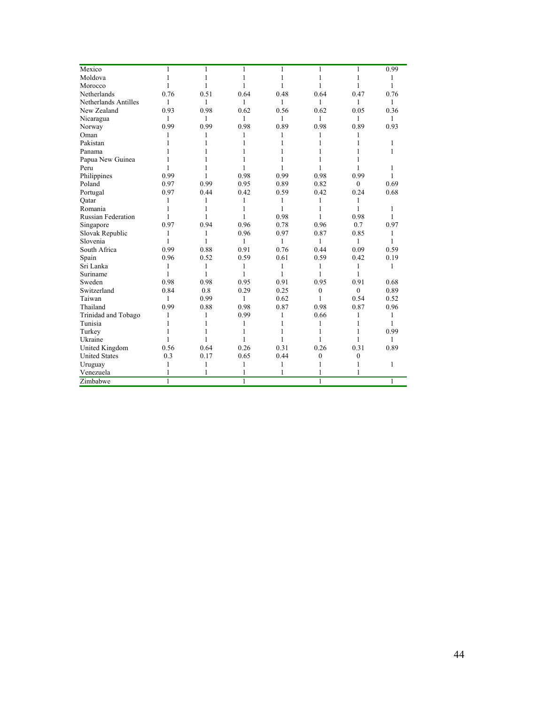| Mexico                    | 1    | 1    | 1            | 1            | $\mathbf{1}$     | $\mathbf{1}$     | 0.99         |
|---------------------------|------|------|--------------|--------------|------------------|------------------|--------------|
| Moldova                   | 1    | 1    | 1            | 1            | 1                | 1                | 1            |
| Morocco                   | 1    | 1    | 1            | 1            | 1                | 1                | 1            |
| Netherlands               | 0.76 | 0.51 | 0.64         | 0.48         | 0.64             | 0.47             | 0.76         |
| Netherlands Antilles      | 1    | 1    | $\mathbf{1}$ | 1            | 1                | $\mathbf{1}$     | 1            |
| New Zealand               | 0.93 | 0.98 | 0.62         | 0.56         | 0.62             | 0.05             | 0.36         |
| Nicaragua                 | 1    | 1    | $\mathbf{1}$ | 1            | 1                | 1                | 1            |
| Norway                    | 0.99 | 0.99 | 0.98         | 0.89         | 0.98             | 0.89             | 0.93         |
| Oman                      | 1    | 1    | 1            | 1            | 1                | 1                |              |
| Pakistan                  |      | 1    | 1            | 1            | 1                | 1                | 1            |
| Panama                    | 1    | 1    | 1            | 1            | 1                | 1                | 1            |
| Papua New Guinea          |      |      | 1            | 1            | 1                |                  |              |
| Peru                      |      |      | 1            | 1            | 1                | 1                | 1            |
| Philippines               | 0.99 | 1    | 0.98         | 0.99         | 0.98             | 0.99             | 1            |
| Poland                    | 0.97 | 0.99 | 0.95         | 0.89         | 0.82             | $\theta$         | 0.69         |
| Portugal                  | 0.97 | 0.44 | 0.42         | 0.59         | 0.42             | 0.24             | 0.68         |
| Qatar                     | 1    | 1    | 1            | 1            | 1                | 1                |              |
| Romania                   | 1    | 1    | 1            | 1            | 1                | 1                | 1            |
| <b>Russian Federation</b> | 1    | 1    | 1            | 0.98         | 1                | 0.98             | 1            |
| Singapore                 | 0.97 | 0.94 | 0.96         | 0.78         | 0.96             | 0.7              | 0.97         |
| Slovak Republic           | 1    | 1    | 0.96         | 0.97         | 0.87             | 0.85             | 1            |
| Slovenia                  | 1    | 1    | $\mathbf{1}$ | $\mathbf{1}$ | 1                | 1                | $\mathbf{1}$ |
| South Africa              | 0.99 | 0.88 | 0.91         | 0.76         | 0.44             | 0.09             | 0.59         |
| Spain                     | 0.96 | 0.52 | 0.59         | 0.61         | 0.59             | 0.42             | 0.19         |
| Sri Lanka                 | 1    | 1    | 1            | 1            | 1                | 1                | 1            |
| Suriname                  | 1    | 1    | 1            | 1            | 1                | 1                |              |
| Sweden                    | 0.98 | 0.98 | 0.95         | 0.91         | 0.95             | 0.91             | 0.68         |
| Switzerland               | 0.84 | 0.8  | 0.29         | 0.25         | $\mathbf{0}$     | $\mathbf{0}$     | 0.89         |
| Taiwan                    | 1    | 0.99 | $\mathbf{1}$ | 0.62         | 1                | 0.54             | 0.52         |
| Thailand                  | 0.99 | 0.88 | 0.98         | 0.87         | 0.98             | 0.87             | 0.96         |
| Trinidad and Tobago       | 1    | 1    | 0.99         | 1            | 0.66             | 1                | 1            |
| Tunisia                   | 1    | 1    | 1            | 1            | 1                | 1                | 1            |
| Turkey                    |      | 1    | 1            | 1            | 1                | 1                | 0.99         |
| Ukraine                   |      | 1    | 1            | 1            | 1                | 1                | $\mathbf{1}$ |
| United Kingdom            | 0.56 | 0.64 | 0.26         | 0.31         | 0.26             | 0.31             | 0.89         |
| <b>United States</b>      | 0.3  | 0.17 | 0.65         | 0.44         | $\boldsymbol{0}$ | $\boldsymbol{0}$ |              |
| Uruguay                   | 1    | 1    | 1            | 1            | 1                | 1                | 1            |
| Venezuela                 | 1    | 1    | 1            | 1            | 1                | 1                |              |
| Zimbabwe                  | 1    |      | 1            |              | 1                |                  | 1            |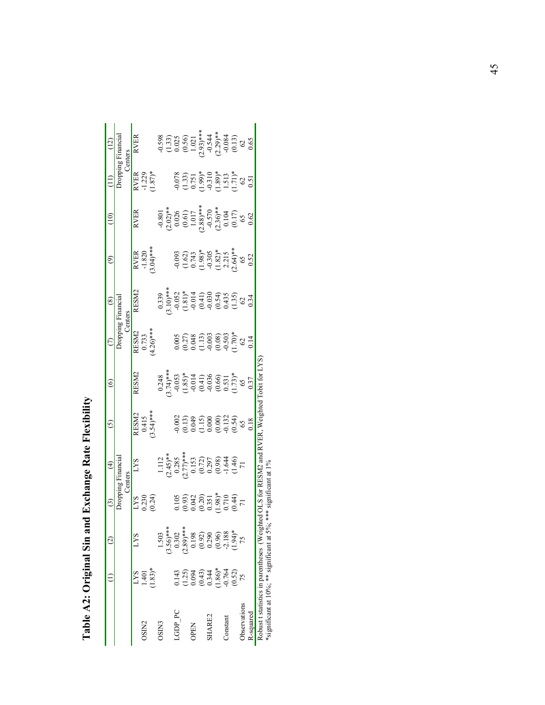|                                              |                                                                                            | ପି                                                                                                 | $\widehat{\mathbb{C}}$                                                                                                  | $\widehat{E}$                                                                                                 | $\odot$                                                                                    | $\circledcirc$                                                                                                                                                             | $\epsilon$                                                                                              | $\circledcirc$                                                                                                                                                                                                                                                                                          | $\widehat{e}$                                                                                                                      | $\frac{1}{2}$                                                                                                                                                                                                                                                                                                                               |                                                                                                             | (12)                                                                                                                                                     |
|----------------------------------------------|--------------------------------------------------------------------------------------------|----------------------------------------------------------------------------------------------------|-------------------------------------------------------------------------------------------------------------------------|---------------------------------------------------------------------------------------------------------------|--------------------------------------------------------------------------------------------|----------------------------------------------------------------------------------------------------------------------------------------------------------------------------|---------------------------------------------------------------------------------------------------------|---------------------------------------------------------------------------------------------------------------------------------------------------------------------------------------------------------------------------------------------------------------------------------------------------------|------------------------------------------------------------------------------------------------------------------------------------|---------------------------------------------------------------------------------------------------------------------------------------------------------------------------------------------------------------------------------------------------------------------------------------------------------------------------------------------|-------------------------------------------------------------------------------------------------------------|----------------------------------------------------------------------------------------------------------------------------------------------------------|
|                                              |                                                                                            |                                                                                                    |                                                                                                                         | <b>Centers</b>                                                                                                |                                                                                            |                                                                                                                                                                            | rommer                                                                                                  | Centers                                                                                                                                                                                                                                                                                                 |                                                                                                                                    |                                                                                                                                                                                                                                                                                                                                             |                                                                                                             | ropping Financial<br>Centers                                                                                                                             |
|                                              | <b>LYS</b>                                                                                 | <b>LYS</b>                                                                                         |                                                                                                                         | <b>LYS</b>                                                                                                    |                                                                                            | <b>RSM2</b>                                                                                                                                                                |                                                                                                         | <b>RSM2</b>                                                                                                                                                                                                                                                                                             |                                                                                                                                    | <b>RVER</b>                                                                                                                                                                                                                                                                                                                                 |                                                                                                             | <b>RVER</b>                                                                                                                                              |
| <b>CNISC</b>                                 | 1.401                                                                                      |                                                                                                    |                                                                                                                         |                                                                                                               |                                                                                            |                                                                                                                                                                            |                                                                                                         |                                                                                                                                                                                                                                                                                                         |                                                                                                                                    |                                                                                                                                                                                                                                                                                                                                             |                                                                                                             |                                                                                                                                                          |
|                                              | $1.83)*$                                                                                   |                                                                                                    | LYS<br>0.230<br>(0.24)                                                                                                  |                                                                                                               | RESM2<br>0.415<br>3.54)****                                                                |                                                                                                                                                                            | RESM2<br>0.733<br>4.26)***                                                                              |                                                                                                                                                                                                                                                                                                         | RVER<br>-1.820<br>3.04)***                                                                                                         |                                                                                                                                                                                                                                                                                                                                             | RVER<br>-1.229<br>-1.87)*                                                                                   |                                                                                                                                                          |
| <b>CNISC</b>                                 |                                                                                            | 1.503                                                                                              |                                                                                                                         |                                                                                                               |                                                                                            |                                                                                                                                                                            |                                                                                                         |                                                                                                                                                                                                                                                                                                         |                                                                                                                                    |                                                                                                                                                                                                                                                                                                                                             |                                                                                                             |                                                                                                                                                          |
|                                              |                                                                                            |                                                                                                    |                                                                                                                         |                                                                                                               |                                                                                            |                                                                                                                                                                            |                                                                                                         |                                                                                                                                                                                                                                                                                                         |                                                                                                                                    |                                                                                                                                                                                                                                                                                                                                             |                                                                                                             |                                                                                                                                                          |
| <b>GDP_PC</b>                                |                                                                                            |                                                                                                    |                                                                                                                         |                                                                                                               |                                                                                            |                                                                                                                                                                            |                                                                                                         |                                                                                                                                                                                                                                                                                                         |                                                                                                                                    |                                                                                                                                                                                                                                                                                                                                             |                                                                                                             |                                                                                                                                                          |
|                                              |                                                                                            |                                                                                                    |                                                                                                                         |                                                                                                               |                                                                                            |                                                                                                                                                                            |                                                                                                         |                                                                                                                                                                                                                                                                                                         |                                                                                                                                    |                                                                                                                                                                                                                                                                                                                                             |                                                                                                             |                                                                                                                                                          |
| <b>DPEN</b>                                  |                                                                                            |                                                                                                    |                                                                                                                         |                                                                                                               |                                                                                            |                                                                                                                                                                            |                                                                                                         |                                                                                                                                                                                                                                                                                                         |                                                                                                                                    |                                                                                                                                                                                                                                                                                                                                             |                                                                                                             |                                                                                                                                                          |
|                                              |                                                                                            | $(3.56)$ ***<br>$0.302$<br>$0.30$ ***<br>$(2.89)$ ***<br>$0.198$<br>$(0.92)$<br>$(0.96)$<br>$0.96$ |                                                                                                                         |                                                                                                               |                                                                                            |                                                                                                                                                                            |                                                                                                         |                                                                                                                                                                                                                                                                                                         |                                                                                                                                    |                                                                                                                                                                                                                                                                                                                                             |                                                                                                             |                                                                                                                                                          |
| <b>HARE2</b>                                 |                                                                                            |                                                                                                    |                                                                                                                         |                                                                                                               |                                                                                            |                                                                                                                                                                            |                                                                                                         |                                                                                                                                                                                                                                                                                                         |                                                                                                                                    |                                                                                                                                                                                                                                                                                                                                             |                                                                                                             |                                                                                                                                                          |
|                                              |                                                                                            |                                                                                                    |                                                                                                                         |                                                                                                               |                                                                                            |                                                                                                                                                                            |                                                                                                         |                                                                                                                                                                                                                                                                                                         |                                                                                                                                    |                                                                                                                                                                                                                                                                                                                                             |                                                                                                             |                                                                                                                                                          |
| Constant                                     |                                                                                            |                                                                                                    |                                                                                                                         |                                                                                                               |                                                                                            |                                                                                                                                                                            |                                                                                                         |                                                                                                                                                                                                                                                                                                         |                                                                                                                                    |                                                                                                                                                                                                                                                                                                                                             |                                                                                                             |                                                                                                                                                          |
|                                              | $0.143$<br>$0.25$<br>$0.094$<br>$0.344$<br>$0.344$<br>$0.54$<br>$0.54$<br>$0.52$<br>$0.52$ | $1.94)*$<br>75                                                                                     | $\begin{array}{l} (0.105\ (0.93) \ (0.042\ 0.03) \ (0.20) \ (0.351\ 0.371\ 0.9) \ * \ (0.710\ 0.710\ 0.710 \end{array}$ | $\begin{array}{l} 1.112\\ 2.45)**\\ 0.285\\ 0.77)**\\ 0.153\\ 0.0297\\ 0.030\\ 0.030\\ -1.46\\ 7 \end{array}$ | $0.002$<br>$0.13$<br>$0.049$<br>$0.15$<br>$0.000$<br>$0.000$<br>$0.54$<br>$0.18$<br>$0.18$ | $\begin{array}{l} 0.248 \\ 2.74) * \\ 3.74) * \\ -0.053 \\ -0.053 \\ -0.014 \\ -0.014 \\ -0.036 \\ -0.050 \\ -0.036 \\ -0.037 \\ -0.037 \\ -0.037 \\ -0.37 \\ \end{array}$ | $0.005$<br>$(0.27)$<br>$0.048$<br>$(1.13)$<br>$(1.13)$<br>$(0.03)$<br>$(0.03)$<br>$(0.303)$<br>$(0.14)$ | $\begin{array}{l} 0.339\\ 0.937\\ -0.052\\ -0.052\\ 2.10)\\ -0.052\\ -0.054\\ -0.030\\ -0.030\\ -0.030\\ -0.030\\ -0.030\\ -0.030\\ -0.34\\ -0.34\\ -0.34\\ -0.34\\ -0.34\\ -0.34\\ -0.34\\ -0.34\\ -0.34\\ -0.34\\ -0.34\\ -0.34\\ -0.34\\ -0.34\\ -0.34\\ -0.34\\ -0.34\\ -0.34\\ -0.34\\ -0.34\\ -0$ | $-0.093$<br>$-1.62$<br>$-1.62$<br>$-1.63$<br>$-1.82$<br>$-1.213$<br>$-1.64$<br>$-1.63$<br>$-1.64$<br>$-1.62$<br>$-1.62$<br>$-1.62$ | $\begin{array}{l} -0.801 \\ (2.02)^\ast\ast \\ (0.026) \\ (0.61) \\ (0.61) \\ (1.017) \\ (2.88)^\ast\ast \\ (2.36)^\ast\ast \\ (0.104) \\ (0.110) \\ (0.11) \\ (0.01) \\ (0.02) \\ (0.02) \\ (0.02) \\ (0.02) \\ (0.02) \\ (0.02) \\ (0.02) \\ (0.02) \\ (0.02) \\ (0.02) \\ (0.02) \\ (0.02) \\ (0.02) \\ (0.02) \\ (0.02) \\ (0.02) \\ ($ | $-0.078$<br>$(1.33)$<br>$(0.751)$<br>$-0.310$<br>$(1.513)$<br>$(1.513)$<br>$(1.513)$<br>$(62)$<br>$(1.513)$ | $-0.598$<br>$-0.53$<br>$-0.025$<br>$-0.56$<br>$-0.59$<br>$-0.54$<br>$-0.54$<br>$-0.54$<br>$-0.54$<br>$-0.54$<br>$-0.54$<br>$-0.54$<br>$-0.54$<br>$-0.56$ |
| bservations                                  |                                                                                            |                                                                                                    |                                                                                                                         |                                                                                                               |                                                                                            |                                                                                                                                                                            |                                                                                                         |                                                                                                                                                                                                                                                                                                         |                                                                                                                                    |                                                                                                                                                                                                                                                                                                                                             |                                                                                                             |                                                                                                                                                          |
| $\lambda$ -squared                           |                                                                                            |                                                                                                    |                                                                                                                         |                                                                                                               |                                                                                            |                                                                                                                                                                            |                                                                                                         |                                                                                                                                                                                                                                                                                                         |                                                                                                                                    |                                                                                                                                                                                                                                                                                                                                             |                                                                                                             |                                                                                                                                                          |
| Robust t statistics in parentheses (Weighted |                                                                                            |                                                                                                    |                                                                                                                         | OLS for RESM2 and RVER, Weighted Tobit for LYS                                                                |                                                                                            |                                                                                                                                                                            |                                                                                                         |                                                                                                                                                                                                                                                                                                         |                                                                                                                                    |                                                                                                                                                                                                                                                                                                                                             |                                                                                                             |                                                                                                                                                          |

Table A2: Original Sin and Exchange Rate Flexibility **Table A2: Original Sin and Exchange Rate Flexibility** 

Robust t statistics in parentheses (Weighted OLS for RESM2 and RVER, Weighted Tobit for LYS) han

Novust i saatsuts in partnineses (weighted OLS 101 NESN/2 and significant at 10%, \*\*\* significant at 19% \*significant at 10%; \*\* significant at 5%; \*\*\* significant at 1%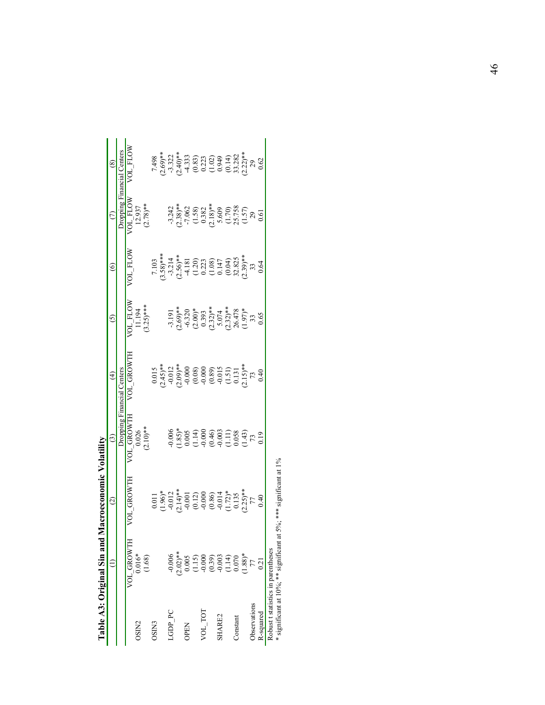|                     | Table A3: Original Sin and                                                                                                                                                                                                                                                             | Macroeconomic Volatility                                                                                                                                                                                                                                                                                                                                                                                                                                           |                                   |                                                                                                                                                                                                                                                                       |                                                                                                                                                                                                                          |                                                                                                                                                                                                                                                              |                                                                                                                                                                                                                                                                                                                           |                                                                                                                                                                                                                                                                                                     |
|---------------------|----------------------------------------------------------------------------------------------------------------------------------------------------------------------------------------------------------------------------------------------------------------------------------------|--------------------------------------------------------------------------------------------------------------------------------------------------------------------------------------------------------------------------------------------------------------------------------------------------------------------------------------------------------------------------------------------------------------------------------------------------------------------|-----------------------------------|-----------------------------------------------------------------------------------------------------------------------------------------------------------------------------------------------------------------------------------------------------------------------|--------------------------------------------------------------------------------------------------------------------------------------------------------------------------------------------------------------------------|--------------------------------------------------------------------------------------------------------------------------------------------------------------------------------------------------------------------------------------------------------------|---------------------------------------------------------------------------------------------------------------------------------------------------------------------------------------------------------------------------------------------------------------------------------------------------------------------------|-----------------------------------------------------------------------------------------------------------------------------------------------------------------------------------------------------------------------------------------------------------------------------------------------------|
|                     |                                                                                                                                                                                                                                                                                        | $\odot$                                                                                                                                                                                                                                                                                                                                                                                                                                                            | $\odot$                           | $\widehat{E}$                                                                                                                                                                                                                                                         | $\odot$                                                                                                                                                                                                                  | $\circledcirc$                                                                                                                                                                                                                                               |                                                                                                                                                                                                                                                                                                                           | $\circledS$                                                                                                                                                                                                                                                                                         |
|                     |                                                                                                                                                                                                                                                                                        |                                                                                                                                                                                                                                                                                                                                                                                                                                                                    | Dropping Financial Centers        |                                                                                                                                                                                                                                                                       |                                                                                                                                                                                                                          |                                                                                                                                                                                                                                                              |                                                                                                                                                                                                                                                                                                                           | Dropping Financial Centers                                                                                                                                                                                                                                                                          |
|                     | VOL GROWTH                                                                                                                                                                                                                                                                             | VOL GROWTH                                                                                                                                                                                                                                                                                                                                                                                                                                                         |                                   | VOL GROWTI                                                                                                                                                                                                                                                            |                                                                                                                                                                                                                          | VOL FLOW                                                                                                                                                                                                                                                     |                                                                                                                                                                                                                                                                                                                           | VOL_FLOW                                                                                                                                                                                                                                                                                            |
| OSIN <sub>2</sub>   | $0.016*$                                                                                                                                                                                                                                                                               |                                                                                                                                                                                                                                                                                                                                                                                                                                                                    |                                   |                                                                                                                                                                                                                                                                       |                                                                                                                                                                                                                          |                                                                                                                                                                                                                                                              |                                                                                                                                                                                                                                                                                                                           |                                                                                                                                                                                                                                                                                                     |
|                     | (1.68)                                                                                                                                                                                                                                                                                 |                                                                                                                                                                                                                                                                                                                                                                                                                                                                    | $VOL_GROWTH$<br>0.026<br>(2.10)** |                                                                                                                                                                                                                                                                       | VOL_FLOW<br>11.194<br>(3.25)***                                                                                                                                                                                          |                                                                                                                                                                                                                                                              | $\begin{array}{c} \rm{VOL\_FLOW} \\ 12.937 \\ (2.78) ^{**} \end{array}$                                                                                                                                                                                                                                                   |                                                                                                                                                                                                                                                                                                     |
| <b>CNISC</b>        |                                                                                                                                                                                                                                                                                        |                                                                                                                                                                                                                                                                                                                                                                                                                                                                    |                                   |                                                                                                                                                                                                                                                                       |                                                                                                                                                                                                                          |                                                                                                                                                                                                                                                              |                                                                                                                                                                                                                                                                                                                           |                                                                                                                                                                                                                                                                                                     |
|                     |                                                                                                                                                                                                                                                                                        |                                                                                                                                                                                                                                                                                                                                                                                                                                                                    |                                   |                                                                                                                                                                                                                                                                       |                                                                                                                                                                                                                          |                                                                                                                                                                                                                                                              |                                                                                                                                                                                                                                                                                                                           |                                                                                                                                                                                                                                                                                                     |
| <b>CGDP PC</b>      | $-0.006$                                                                                                                                                                                                                                                                               | $\begin{array}{l} 1.011 \\ 0.96 \text{\textcolor{red}{*}} \\ (1.961 \text{\textcolor{red}{*}}) \\ (1.961 \text{\textcolor{red}{*}}) \\ (1.961 \text{\textcolor{red}{*}}) \\ (1.961 \text{\textcolor{red}{*}}) \\ (1.961 \text{\textcolor{red}{*}}) \\ (1.961 \text{\textcolor{red}{*}}) \\ (1.961 \text{\textcolor{red}{*}}) \\ (1.961 \text{\textcolor{red}{*}}) \\ (1.961 \text{\textcolor{red}{*}}) \\ (1.961 \text{\textcolor{red}{*}}) \\ (1.961 \text{\text$ |                                   | $\begin{array}{l} 0.015\\ 0.012\\ 2.45)\\ 2.012\\ 2.09\\ 2.000\\ 2.000\\ 2.000\\ 2.000\\ 2.000\\ 2.000\\ 2.000\\ 2.000\\ 2.000\\ 2.000\\ 2.000\\ 2.000\\ 2.000\\ 2.000\\ 2.000\\ 2.000\\ 2.000\\ 2.000\\ 2.000\\ 2.000\\ 2.000\\ 2.000\\ 2.000\\ 2.000\\ 2.000\\ 2.0$ |                                                                                                                                                                                                                          | $\begin{array}{l} 7.103 \\ 7.103 \\ -3.314 \\ -3.14 \\ -2.56 \end{array}$ $\begin{array}{l} 4.18 \\ 4.18 \\ -1.20 \\ 0.22 \\ -1.00 \\ 0.04 \\ -1.00 \\ 0.04 \\ -1.00 \\ 0.04 \\ 0.04 \\ 0.04 \\ 0.04 \\ 0.04 \\ 0.04 \\ 0.04 \\ 0.04 \\ 0.04 \\ \end{array}$ |                                                                                                                                                                                                                                                                                                                           | $\begin{array}{l} 7.498 \\ 7.232 \\ 7.312 \\ 7.49 \\ 7.4131 \\ 8.31 \\ 1.323 \\ 1.333 \\ 1.333 \\ 1.333 \\ 1.333 \\ 1.333 \\ 1.333 \\ 1.333 \\ 1.333 \\ 1.333 \\ 1.333 \\ 1.333 \\ 1.333 \\ 1.333 \\ 1.333 \\ 1.333 \\ 1.333 \\ 1.333 \\ 1.333 \\ 1.333 \\ 1.333 \\ 1.333 \\ 1.333 \\ 1.333 \\ 1.3$ |
|                     |                                                                                                                                                                                                                                                                                        |                                                                                                                                                                                                                                                                                                                                                                                                                                                                    |                                   |                                                                                                                                                                                                                                                                       |                                                                                                                                                                                                                          |                                                                                                                                                                                                                                                              |                                                                                                                                                                                                                                                                                                                           |                                                                                                                                                                                                                                                                                                     |
| <b>DPEN</b>         |                                                                                                                                                                                                                                                                                        |                                                                                                                                                                                                                                                                                                                                                                                                                                                                    |                                   |                                                                                                                                                                                                                                                                       |                                                                                                                                                                                                                          |                                                                                                                                                                                                                                                              |                                                                                                                                                                                                                                                                                                                           |                                                                                                                                                                                                                                                                                                     |
|                     | $\begin{array}{l} \text{2.02)}{\phantom{}_{\text{+}}}\\ 2.005\\ 0.005\\ 0.15\\ 0.000\\ 0.39\\ 0.003\\ 0.003\\ 0.003\\ 0.003\\ 0.003\\ 0.003\\ 0.003\\ 0.003\\ 0.003\\ 0.003\\ 0.003\\ 0.003\\ 0.003\\ 0.003\\ 0.003\\ 0.003\\ 0.003\\ 0.003\\ 0.003\\ 0.003\\ 0.003\\ 0.003\\ 0.003\\$ |                                                                                                                                                                                                                                                                                                                                                                                                                                                                    |                                   |                                                                                                                                                                                                                                                                       | $\begin{array}{l} -3.191\\ -2.69) \ast\ast\\ -6.320\\ -0.393\end{array} \quad\begin{array}{l} 2.69) \ast\\ -6.320\\ -2.001\end{array} \quad\begin{array}{l} 2.69 \ast\\ -6.320\\ -2.32 \ast\\ -5.074\\ -2.65\end{array}$ |                                                                                                                                                                                                                                                              | $\begin{array}{l} 1.242 \\ 7.38) \\ 7.062 \\ -7.062 \\ 0.382 \\ 0.382 \\ 0.382 \\ 0.509 \\ -7.000 \\ 0.382 \\ 0.609 \\ -7.000 \\ -7.000 \\ -7.000 \\ -7.000 \\ -7.000 \\ -7.000 \\ -7.000 \\ -7.000 \\ -7.000 \\ -7.000 \\ -7.000 \\ -7.000 \\ -7.000 \\ -7.000 \\ -7.000 \\ -7.000 \\ -7.000 \\ -7.000 \\ -7.000 \\ -7.$ |                                                                                                                                                                                                                                                                                                     |
| VOL_TOT             |                                                                                                                                                                                                                                                                                        |                                                                                                                                                                                                                                                                                                                                                                                                                                                                    |                                   |                                                                                                                                                                                                                                                                       |                                                                                                                                                                                                                          |                                                                                                                                                                                                                                                              |                                                                                                                                                                                                                                                                                                                           |                                                                                                                                                                                                                                                                                                     |
|                     |                                                                                                                                                                                                                                                                                        |                                                                                                                                                                                                                                                                                                                                                                                                                                                                    |                                   |                                                                                                                                                                                                                                                                       |                                                                                                                                                                                                                          |                                                                                                                                                                                                                                                              |                                                                                                                                                                                                                                                                                                                           |                                                                                                                                                                                                                                                                                                     |
| <b>SHARE2</b>       |                                                                                                                                                                                                                                                                                        |                                                                                                                                                                                                                                                                                                                                                                                                                                                                    |                                   |                                                                                                                                                                                                                                                                       |                                                                                                                                                                                                                          |                                                                                                                                                                                                                                                              |                                                                                                                                                                                                                                                                                                                           |                                                                                                                                                                                                                                                                                                     |
|                     |                                                                                                                                                                                                                                                                                        |                                                                                                                                                                                                                                                                                                                                                                                                                                                                    |                                   |                                                                                                                                                                                                                                                                       |                                                                                                                                                                                                                          |                                                                                                                                                                                                                                                              |                                                                                                                                                                                                                                                                                                                           |                                                                                                                                                                                                                                                                                                     |
| Constant            |                                                                                                                                                                                                                                                                                        |                                                                                                                                                                                                                                                                                                                                                                                                                                                                    |                                   |                                                                                                                                                                                                                                                                       |                                                                                                                                                                                                                          |                                                                                                                                                                                                                                                              |                                                                                                                                                                                                                                                                                                                           |                                                                                                                                                                                                                                                                                                     |
|                     |                                                                                                                                                                                                                                                                                        |                                                                                                                                                                                                                                                                                                                                                                                                                                                                    |                                   |                                                                                                                                                                                                                                                                       |                                                                                                                                                                                                                          |                                                                                                                                                                                                                                                              |                                                                                                                                                                                                                                                                                                                           |                                                                                                                                                                                                                                                                                                     |
| <b>b</b> servations |                                                                                                                                                                                                                                                                                        |                                                                                                                                                                                                                                                                                                                                                                                                                                                                    |                                   |                                                                                                                                                                                                                                                                       |                                                                                                                                                                                                                          |                                                                                                                                                                                                                                                              |                                                                                                                                                                                                                                                                                                                           |                                                                                                                                                                                                                                                                                                     |
| <b>K-squared</b>    | <u>ี่</u><br>21                                                                                                                                                                                                                                                                        |                                                                                                                                                                                                                                                                                                                                                                                                                                                                    |                                   |                                                                                                                                                                                                                                                                       |                                                                                                                                                                                                                          |                                                                                                                                                                                                                                                              |                                                                                                                                                                                                                                                                                                                           |                                                                                                                                                                                                                                                                                                     |
|                     | Robust t statistics in parentheses                                                                                                                                                                                                                                                     |                                                                                                                                                                                                                                                                                                                                                                                                                                                                    |                                   |                                                                                                                                                                                                                                                                       |                                                                                                                                                                                                                          |                                                                                                                                                                                                                                                              |                                                                                                                                                                                                                                                                                                                           |                                                                                                                                                                                                                                                                                                     |

| Į            |   |
|--------------|---|
|              |   |
|              |   |
|              |   |
|              |   |
|              |   |
| ו<br>ו       |   |
| Ĭ            |   |
|              |   |
|              |   |
|              |   |
| ֖֖֚֚֚֚֚֬֝֬֝֬ |   |
|              |   |
|              |   |
|              |   |
| ׇ֚֕֡֡        |   |
|              |   |
| i            |   |
| I            |   |
|              |   |
|              | J |
|              |   |
|              |   |
|              |   |
|              |   |
| í            |   |
|              |   |
|              |   |
|              |   |

Novusi i saansitus in partiitieses<br>\* significant at 10%; \*\* significant at 5%; \*\*\* significant at 1% \* significant at  $10\%$ ; \*\* significant at  $5\%$ ; \*\*\* significant at  $1\%$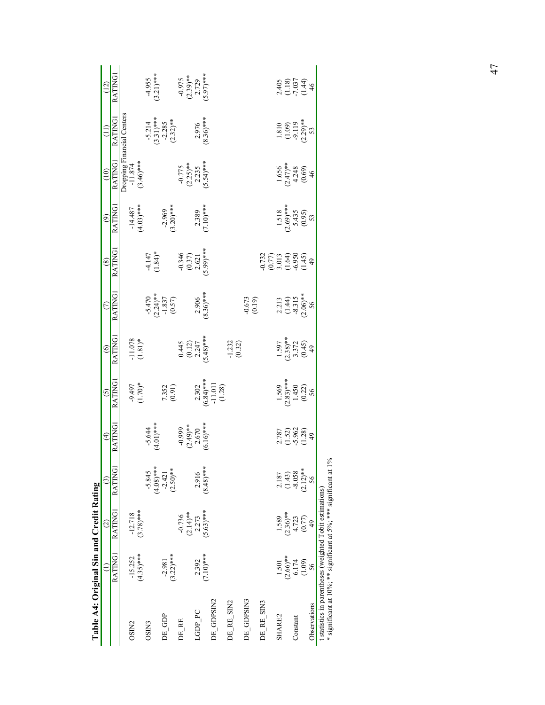| $(5.63)$ ***<br>$(3.78)***$<br>RATINGI<br>$(2.14)$ **<br>$-12.718$<br>$-0.736$<br>2.273<br>RATINGI<br>$(4.35)***$<br>$(3.22)$ ***<br>$(7.10)***$<br>$-15.252$<br>2.392<br>$-2.981$<br>DE GDPSIN2<br>DE_RE_SIN2<br>LGDP_PC<br>DE GDP<br>DE RE<br>OSIN <sub>2</sub><br>OSIN3 | <b>RATINGI</b><br>$(4.08)$ ***<br>$(2.50)**$<br>$-5.845$<br>2.916<br>$-2.421$ | <b>RATING</b><br>$-5.644$<br>(4.01)***                                   | <b>RATING</b>                                         | <b>RATING</b>                                       |                                                         |                                                                       |                                                |                                                   | $\overline{1}$                                      | (12)                                             |
|----------------------------------------------------------------------------------------------------------------------------------------------------------------------------------------------------------------------------------------------------------------------------|-------------------------------------------------------------------------------|--------------------------------------------------------------------------|-------------------------------------------------------|-----------------------------------------------------|---------------------------------------------------------|-----------------------------------------------------------------------|------------------------------------------------|---------------------------------------------------|-----------------------------------------------------|--------------------------------------------------|
|                                                                                                                                                                                                                                                                            |                                                                               |                                                                          |                                                       |                                                     | <b>RATING</b>                                           | <b>RATING</b>                                                         | RATING                                         | <b>RATING</b>                                     | <b>RATING</b>                                       | <b>RATING1</b>                                   |
|                                                                                                                                                                                                                                                                            |                                                                               |                                                                          |                                                       |                                                     |                                                         |                                                                       |                                                |                                                   |                                                     |                                                  |
|                                                                                                                                                                                                                                                                            |                                                                               |                                                                          |                                                       | (1.078)                                             |                                                         |                                                                       | $-14.487$<br>(4.03)***                         | Dropping Financial Centers<br>-11.874             |                                                     |                                                  |
|                                                                                                                                                                                                                                                                            |                                                                               |                                                                          | 1.70)*                                                |                                                     |                                                         |                                                                       |                                                | $(3.46)***$                                       |                                                     |                                                  |
|                                                                                                                                                                                                                                                                            |                                                                               |                                                                          |                                                       |                                                     |                                                         | $(1.84)$ *                                                            |                                                |                                                   |                                                     | $-4.955$<br>3.21)***                             |
|                                                                                                                                                                                                                                                                            |                                                                               |                                                                          |                                                       |                                                     |                                                         |                                                                       |                                                |                                                   |                                                     |                                                  |
|                                                                                                                                                                                                                                                                            |                                                                               |                                                                          | 7.352<br>(0.91)                                       |                                                     | $-5.470$<br>$(2.24)*$<br>$-1.837$<br>$(0.57)$           |                                                                       | $-2.969$<br>$(3.20)***$                        |                                                   | $-5.214$<br>3.31)***<br>2.285<br>(2.32)**           |                                                  |
|                                                                                                                                                                                                                                                                            |                                                                               |                                                                          |                                                       |                                                     |                                                         |                                                                       |                                                |                                                   |                                                     |                                                  |
|                                                                                                                                                                                                                                                                            |                                                                               |                                                                          |                                                       |                                                     |                                                         |                                                                       |                                                |                                                   |                                                     |                                                  |
|                                                                                                                                                                                                                                                                            |                                                                               | $-0.999$<br>$(2.49)$ <sup>**</sup><br>$2.670$<br>$(6.16)$ <sup>***</sup> |                                                       | $0.445$<br>$(0.12)$<br>$2.247$<br>$(5.48)***$       |                                                         | $-0.346$<br>$(0.37)$<br>$2.621$<br>$(5.99)$ ***                       |                                                | $-0.775$<br>$(2.25)***$<br>$2.235$<br>$(5.54)***$ |                                                     | $-0.975$<br>$(2.39)***$<br>$2.729$<br>$5.97)***$ |
|                                                                                                                                                                                                                                                                            |                                                                               |                                                                          |                                                       |                                                     |                                                         |                                                                       |                                                |                                                   |                                                     |                                                  |
|                                                                                                                                                                                                                                                                            | $(8.48)$ ***                                                                  |                                                                          |                                                       |                                                     | $2.906$<br>$(8.36)***$                                  |                                                                       | $2.389$<br>7.10)***                            |                                                   | $2.976$<br>$(8.36)***$                              |                                                  |
|                                                                                                                                                                                                                                                                            |                                                                               |                                                                          | $2.302$<br>(6.84)***<br>-11.011<br>-11.011            |                                                     |                                                         |                                                                       |                                                |                                                   |                                                     |                                                  |
|                                                                                                                                                                                                                                                                            |                                                                               |                                                                          |                                                       | $-1.232$<br>(0.32)                                  |                                                         |                                                                       |                                                |                                                   |                                                     |                                                  |
|                                                                                                                                                                                                                                                                            |                                                                               |                                                                          |                                                       |                                                     |                                                         |                                                                       |                                                |                                                   |                                                     |                                                  |
| DE_GDPSIN3                                                                                                                                                                                                                                                                 |                                                                               |                                                                          |                                                       |                                                     | $-0.673$<br>$(0.19)$                                    |                                                                       |                                                |                                                   |                                                     |                                                  |
|                                                                                                                                                                                                                                                                            |                                                                               |                                                                          |                                                       |                                                     |                                                         |                                                                       |                                                |                                                   |                                                     |                                                  |
| DE_RE_SIN3                                                                                                                                                                                                                                                                 |                                                                               |                                                                          |                                                       |                                                     |                                                         | $-0.732$<br>$(0.77)$<br>$3.013$<br>$(-6.950)$<br>$-6.950$<br>$(1.45)$ |                                                |                                                   |                                                     |                                                  |
| 1.589<br>1.501<br>SHARE2                                                                                                                                                                                                                                                   |                                                                               |                                                                          | $1.569$<br>$(2.83)***$<br>$1.450$<br>$(0.22)$<br>$56$ |                                                     |                                                         |                                                                       | 1.518<br>$(2.69)$ ***<br>5.435<br>(0.95)<br>53 | $1.656$<br>$(2.47)*$<br>$4.248$<br>$(0.69)$<br>46 |                                                     |                                                  |
| $(2.36)$ **<br>$(2.66)$ **                                                                                                                                                                                                                                                 | $2.187$<br>$(1.43)$<br>$-8.058$                                               | 2.787<br>(1.52)<br>(1.78)<br>(1.28)                                      |                                                       | $1.597$<br>$(2.38)$ **<br>$3.372$<br>$(0.45)$<br>49 | $2.213$<br>$(1.44)$<br>$-8.315$<br>$2.06$ <sup>**</sup> |                                                                       |                                                |                                                   | $1.810$<br>$(1.09)$<br>$9.119$<br>$(2.29)$ **<br>53 | 2.405<br>CLS<br>CLS<br>CL4<br>CL4                |
| 4.723<br>6.174<br>Constant                                                                                                                                                                                                                                                 |                                                                               |                                                                          |                                                       |                                                     |                                                         |                                                                       |                                                |                                                   |                                                     |                                                  |
| (0.77)<br>(1.09)                                                                                                                                                                                                                                                           | $(2.12)$ **                                                                   |                                                                          |                                                       |                                                     |                                                         |                                                                       |                                                |                                                   |                                                     |                                                  |
| 49<br>56<br>Observations                                                                                                                                                                                                                                                   | 56                                                                            |                                                                          |                                                       |                                                     |                                                         |                                                                       |                                                |                                                   |                                                     |                                                  |

\* significant at 10%; \*\* significant at 5%; \*\*\* significant at 1% \* significant at 10%; \*\* significant at 5%; \*\*\* significant at 1%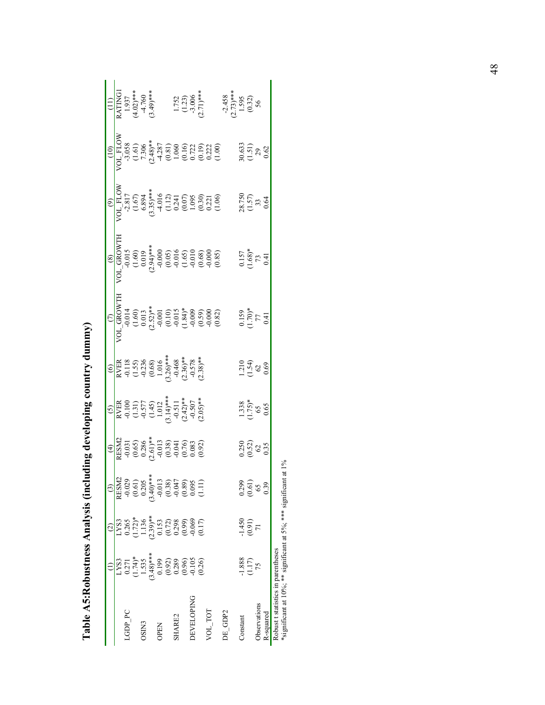|                   | LYS3                                                                                       | LYS3                                                                                                                            | RESM2                                                                                            | $\begin{array}{r} \frac{1}{2} \\ \frac{1}{2} \\ \frac{1}{2} \\ \frac{1}{2} \\ \frac{1}{2} \\ \frac{1}{2} \\ \frac{1}{2} \\ \frac{1}{2} \\ \frac{1}{2} \\ \frac{1}{2} \\ \frac{1}{2} \\ \frac{1}{2} \\ \frac{1}{2} \\ \frac{1}{2} \\ \frac{1}{2} \\ \frac{1}{2} \\ \frac{1}{2} \\ \frac{1}{2} \\ \frac{1}{2} \\ \frac{1}{2} \\ \frac{1}{2} \\ \frac{1}{2} \\ \frac{1}{2} \\ \frac{1}{2} \\ \frac{1}{2} \\ \frac{1}{2} \\ \frac{1}{$ | $\begin{array}{r} \text{(5)}\\ \text{RVER}\\ \text{-0.100}\\ \text{-0.577}\\ \text{-0.577}\\ \text{-0.577}\\ \text{-0.578}\\ \text{-0.579}\\ \text{-0.579}\\ \text{-0.597}\\ \text{-0.511}\\ \text{-0.507}\\ \text{-0.507}\\ \text{-0.507}\\ \text{-0.507}\\ \text{-0.507}\\ \text{-0.507}\\ \text{-0.507}\\ \text{-0.507}\\ \text{-0.507}\\ \text{-0.508}\\ \text{-0.509}\\ \text{-0.509}\\ \text{-0.500}\\ \text$ | $\begin{array}{r} \text{(6)}\\ \text{RVER}\\ \text{Q} & \text{(1.5)}\\ \text{(1.5)}\\ \text{(1.5)}\\ \text{(1.5)}\\ \text{(1.5)}\\ \text{(1.5)}\\ \text{(1.5)}\\ \text{(1.5)}\\ \text{(1.5)}\\ \text{(1.5)}\\ \text{(1.5)}\\ \text{(1.5)}\\ \text{(1.5)}\\ \text{(1.5)}\\ \text{(1.5)}\\ \text{(1.5)}\\ \text{(1.5)}\\ \text{(1.5)}\\ \text{(1.5)}\\ \text{(1.5)}\\ \text{(2.5)}\\ \text{(3.5)}\\ \text{**}\\ \text{**}\\ \text{**}\\ \text{$ | ğ                                                             |                                       |                                        | $\begin{array}{r} \hline (10)\\[-4.8ex] \hline (10)\\[-4.8ex] \hline (1,6)\\[-4.8ex] -1,0\\[-4.8ex] -1,0\\[-4.8ex] -1,0\\[-4.8ex] -1,0\\[-4.8ex] -1,0\\[-4.8ex] -1,0\\[-4.8ex] -1,0\\[-4.8ex] -1,0\\[-4.8ex] -1,0\\[-4.8ex] -1,0\\[-4.8ex] -1,0\\[-4.8ex] -1,0\\[-4.8ex] -1,0\\[-4.8ex] -1,0\\[-4.8ex] -1,0\\[-4.8ex] -1,0\\$ | $\begin{array}{c} \text{(11)} \\ \text{RATING1} \\ 1.937 \\ \text{(4.02)***} \\ -4.760 \\ \text{(3.49)***} \end{array}$ |
|-------------------|--------------------------------------------------------------------------------------------|---------------------------------------------------------------------------------------------------------------------------------|--------------------------------------------------------------------------------------------------|------------------------------------------------------------------------------------------------------------------------------------------------------------------------------------------------------------------------------------------------------------------------------------------------------------------------------------------------------------------------------------------------------------------------------------|---------------------------------------------------------------------------------------------------------------------------------------------------------------------------------------------------------------------------------------------------------------------------------------------------------------------------------------------------------------------------------------------------------------------|-----------------------------------------------------------------------------------------------------------------------------------------------------------------------------------------------------------------------------------------------------------------------------------------------------------------------------------------------------------------------------------------------------------------------------------------------|---------------------------------------------------------------|---------------------------------------|----------------------------------------|-------------------------------------------------------------------------------------------------------------------------------------------------------------------------------------------------------------------------------------------------------------------------------------------------------------------------------|-------------------------------------------------------------------------------------------------------------------------|
| <b>LGDP PC</b>    |                                                                                            |                                                                                                                                 |                                                                                                  |                                                                                                                                                                                                                                                                                                                                                                                                                                    |                                                                                                                                                                                                                                                                                                                                                                                                                     |                                                                                                                                                                                                                                                                                                                                                                                                                                               |                                                               |                                       |                                        |                                                                                                                                                                                                                                                                                                                               |                                                                                                                         |
|                   | $0.271$<br>(1.74)*<br>1.535                                                                | $\begin{array}{c} 0.265 \\ (1.72)^* \\ 1.136 \\ (2.39)^{***} \\ (0.153 \\ (0.072) \\ (0.998 \\ (0.99) \\ (0.17) \\ \end{array}$ | $-0.029$<br>$(0.61)$<br>$0.205$                                                                  |                                                                                                                                                                                                                                                                                                                                                                                                                                    |                                                                                                                                                                                                                                                                                                                                                                                                                     |                                                                                                                                                                                                                                                                                                                                                                                                                                               |                                                               |                                       |                                        |                                                                                                                                                                                                                                                                                                                               |                                                                                                                         |
| OSIN3             |                                                                                            |                                                                                                                                 |                                                                                                  |                                                                                                                                                                                                                                                                                                                                                                                                                                    |                                                                                                                                                                                                                                                                                                                                                                                                                     |                                                                                                                                                                                                                                                                                                                                                                                                                                               |                                                               |                                       |                                        |                                                                                                                                                                                                                                                                                                                               |                                                                                                                         |
|                   | $(3.48)$ ***                                                                               |                                                                                                                                 |                                                                                                  |                                                                                                                                                                                                                                                                                                                                                                                                                                    |                                                                                                                                                                                                                                                                                                                                                                                                                     |                                                                                                                                                                                                                                                                                                                                                                                                                                               |                                                               |                                       |                                        |                                                                                                                                                                                                                                                                                                                               |                                                                                                                         |
| <b>OPEN</b>       |                                                                                            |                                                                                                                                 | $(3.40)$ ***<br>$-0.013$<br>$-0.038$<br>$-0.047$<br>$-0.047$<br>$-0.095$<br>$-0.095$<br>$-0.013$ |                                                                                                                                                                                                                                                                                                                                                                                                                                    |                                                                                                                                                                                                                                                                                                                                                                                                                     |                                                                                                                                                                                                                                                                                                                                                                                                                                               |                                                               |                                       |                                        |                                                                                                                                                                                                                                                                                                                               |                                                                                                                         |
|                   | $\begin{array}{c} 0.199 \\ 0.92) \\ 0.289 \\ 0.0.96 \\ 0.009 \\ 0.105 \\ 0.26 \end{array}$ |                                                                                                                                 |                                                                                                  |                                                                                                                                                                                                                                                                                                                                                                                                                                    |                                                                                                                                                                                                                                                                                                                                                                                                                     |                                                                                                                                                                                                                                                                                                                                                                                                                                               |                                                               |                                       |                                        |                                                                                                                                                                                                                                                                                                                               |                                                                                                                         |
| SHARE2            |                                                                                            |                                                                                                                                 |                                                                                                  |                                                                                                                                                                                                                                                                                                                                                                                                                                    |                                                                                                                                                                                                                                                                                                                                                                                                                     |                                                                                                                                                                                                                                                                                                                                                                                                                                               |                                                               |                                       |                                        |                                                                                                                                                                                                                                                                                                                               |                                                                                                                         |
|                   |                                                                                            |                                                                                                                                 |                                                                                                  |                                                                                                                                                                                                                                                                                                                                                                                                                                    |                                                                                                                                                                                                                                                                                                                                                                                                                     |                                                                                                                                                                                                                                                                                                                                                                                                                                               |                                                               |                                       |                                        |                                                                                                                                                                                                                                                                                                                               |                                                                                                                         |
| <b>DEVELOPING</b> |                                                                                            |                                                                                                                                 |                                                                                                  |                                                                                                                                                                                                                                                                                                                                                                                                                                    |                                                                                                                                                                                                                                                                                                                                                                                                                     |                                                                                                                                                                                                                                                                                                                                                                                                                                               |                                                               |                                       |                                        |                                                                                                                                                                                                                                                                                                                               |                                                                                                                         |
|                   |                                                                                            |                                                                                                                                 |                                                                                                  |                                                                                                                                                                                                                                                                                                                                                                                                                                    |                                                                                                                                                                                                                                                                                                                                                                                                                     |                                                                                                                                                                                                                                                                                                                                                                                                                                               |                                                               |                                       |                                        |                                                                                                                                                                                                                                                                                                                               | 1.752<br>(1.23)<br>-3.006<br>(2.71)***                                                                                  |
| VOL_TOT           |                                                                                            |                                                                                                                                 |                                                                                                  |                                                                                                                                                                                                                                                                                                                                                                                                                                    |                                                                                                                                                                                                                                                                                                                                                                                                                     |                                                                                                                                                                                                                                                                                                                                                                                                                                               |                                                               |                                       |                                        |                                                                                                                                                                                                                                                                                                                               |                                                                                                                         |
|                   |                                                                                            |                                                                                                                                 |                                                                                                  |                                                                                                                                                                                                                                                                                                                                                                                                                                    |                                                                                                                                                                                                                                                                                                                                                                                                                     |                                                                                                                                                                                                                                                                                                                                                                                                                                               |                                                               |                                       |                                        |                                                                                                                                                                                                                                                                                                                               |                                                                                                                         |
| DE GDP2           |                                                                                            |                                                                                                                                 |                                                                                                  |                                                                                                                                                                                                                                                                                                                                                                                                                                    |                                                                                                                                                                                                                                                                                                                                                                                                                     |                                                                                                                                                                                                                                                                                                                                                                                                                                               |                                                               |                                       |                                        |                                                                                                                                                                                                                                                                                                                               |                                                                                                                         |
|                   |                                                                                            |                                                                                                                                 |                                                                                                  |                                                                                                                                                                                                                                                                                                                                                                                                                                    |                                                                                                                                                                                                                                                                                                                                                                                                                     |                                                                                                                                                                                                                                                                                                                                                                                                                                               |                                                               |                                       |                                        |                                                                                                                                                                                                                                                                                                                               |                                                                                                                         |
| Constant          |                                                                                            |                                                                                                                                 |                                                                                                  |                                                                                                                                                                                                                                                                                                                                                                                                                                    |                                                                                                                                                                                                                                                                                                                                                                                                                     |                                                                                                                                                                                                                                                                                                                                                                                                                                               |                                                               |                                       |                                        |                                                                                                                                                                                                                                                                                                                               |                                                                                                                         |
|                   | $\frac{1.888}{(1.17)}$                                                                     | $(1450$<br>(191)                                                                                                                | $\frac{0.299}{0.61}$                                                                             | $\begin{array}{c} 0.250 \\ 0.52) \\ 0.35 \end{array}$                                                                                                                                                                                                                                                                                                                                                                              | $\begin{array}{c} 1.338 \\ (1.75)^* \\ 65 \\ 0.65 \end{array}$                                                                                                                                                                                                                                                                                                                                                      | $1.210$<br>$(1.54)$<br>$62$<br>$0.69$                                                                                                                                                                                                                                                                                                                                                                                                         | $\begin{array}{c} 0.159 \\ (1.70)* \\ 77 \\ 0.41 \end{array}$ | $\frac{0.157}{73}$<br>$\frac{73}{11}$ | $28.750$<br>$(1.57)$<br>$33$<br>$0.64$ | $30.633$<br>(1.51)<br>$29$<br>0.62                                                                                                                                                                                                                                                                                            | $-2.458$<br>$(2.73)***$<br>$1.595$<br>$(0.32)$<br>56                                                                    |
| Observations      |                                                                                            |                                                                                                                                 |                                                                                                  |                                                                                                                                                                                                                                                                                                                                                                                                                                    |                                                                                                                                                                                                                                                                                                                                                                                                                     |                                                                                                                                                                                                                                                                                                                                                                                                                                               |                                                               |                                       |                                        |                                                                                                                                                                                                                                                                                                                               |                                                                                                                         |
| R-squared         |                                                                                            |                                                                                                                                 | 0.39                                                                                             |                                                                                                                                                                                                                                                                                                                                                                                                                                    |                                                                                                                                                                                                                                                                                                                                                                                                                     |                                                                                                                                                                                                                                                                                                                                                                                                                                               |                                                               |                                       |                                        |                                                                                                                                                                                                                                                                                                                               |                                                                                                                         |

|               | <b>1111445556</b>    |   |
|---------------|----------------------|---|
|               |                      | Q |
|               |                      |   |
|               |                      |   |
|               |                      |   |
|               |                      |   |
|               |                      |   |
|               |                      |   |
|               |                      |   |
|               |                      |   |
|               |                      |   |
|               | こりく にしょう             |   |
|               |                      |   |
|               |                      |   |
| I             |                      |   |
|               |                      |   |
|               |                      |   |
|               | $\ddot{\phantom{a}}$ |   |
|               |                      |   |
|               |                      |   |
|               |                      |   |
|               | $\frac{1}{2}$        |   |
|               |                      |   |
|               |                      |   |
|               |                      |   |
|               |                      |   |
|               |                      |   |
|               |                      |   |
|               |                      |   |
|               |                      |   |
|               |                      |   |
|               |                      |   |
|               | i<br>!               |   |
|               |                      |   |
|               |                      |   |
|               |                      |   |
|               |                      |   |
|               |                      |   |
| $\frac{1}{2}$ |                      |   |
|               |                      |   |
|               |                      |   |
|               |                      |   |
|               |                      |   |
|               | l<br>.<br>•<br>•     |   |
|               |                      |   |
|               |                      | : |
|               |                      |   |
|               |                      |   |
|               | Tahl                 | ï |
|               |                      |   |